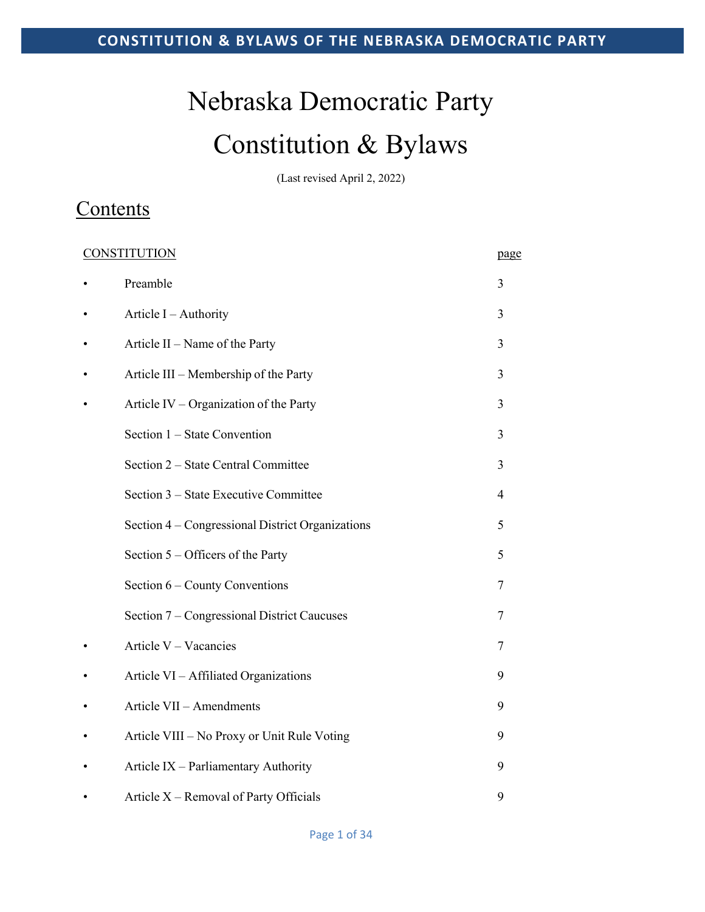# Nebraska Democratic Party Constitution & Bylaws

(Last revised April 2, 2022)

# **Contents**

| <b>CONSTITUTION</b> |                                                  | page |
|---------------------|--------------------------------------------------|------|
|                     | Preamble                                         | 3    |
|                     | Article $I -$ Authority                          | 3    |
|                     | Article II – Name of the Party                   | 3    |
|                     | Article III - Membership of the Party            | 3    |
|                     | Article IV – Organization of the Party           | 3    |
|                     | Section 1 – State Convention                     | 3    |
|                     | Section 2 – State Central Committee              | 3    |
|                     | Section 3 – State Executive Committee            | 4    |
|                     | Section 4 – Congressional District Organizations | 5    |
|                     | Section $5 -$ Officers of the Party              | 5    |
|                     | Section $6$ – County Conventions                 | 7    |
|                     | Section 7 – Congressional District Caucuses      | 7    |
|                     | Article V - Vacancies                            | 7    |
|                     | Article VI - Affiliated Organizations            | 9    |
|                     | Article VII - Amendments                         | 9    |
|                     | Article VIII - No Proxy or Unit Rule Voting      | 9    |
|                     | Article IX - Parliamentary Authority             | 9    |
|                     | Article X – Removal of Party Officials           | 9    |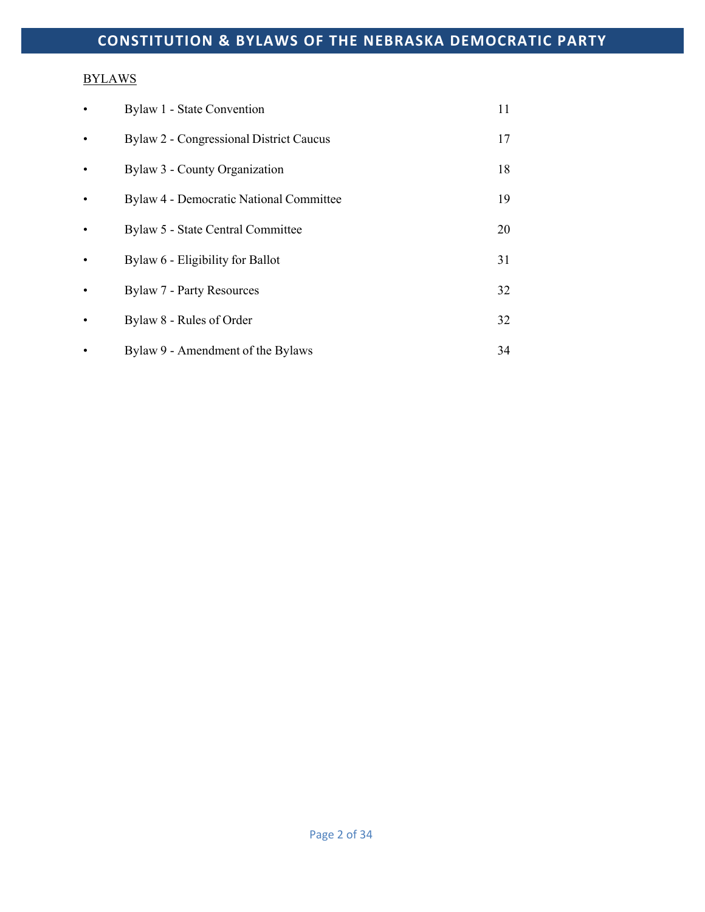## **BYLAWS**

| $\bullet$ | Bylaw 1 - State Convention                     | 11 |
|-----------|------------------------------------------------|----|
| $\bullet$ | Bylaw 2 - Congressional District Caucus        | 17 |
|           | Bylaw 3 - County Organization                  | 18 |
| $\bullet$ | <b>Bylaw 4 - Democratic National Committee</b> | 19 |
| $\bullet$ | Bylaw 5 - State Central Committee              | 20 |
| $\bullet$ | Bylaw 6 - Eligibility for Ballot               | 31 |
| $\bullet$ | <b>Bylaw 7 - Party Resources</b>               | 32 |
| $\bullet$ | Bylaw 8 - Rules of Order                       | 32 |
|           | Bylaw 9 - Amendment of the Bylaws              | 34 |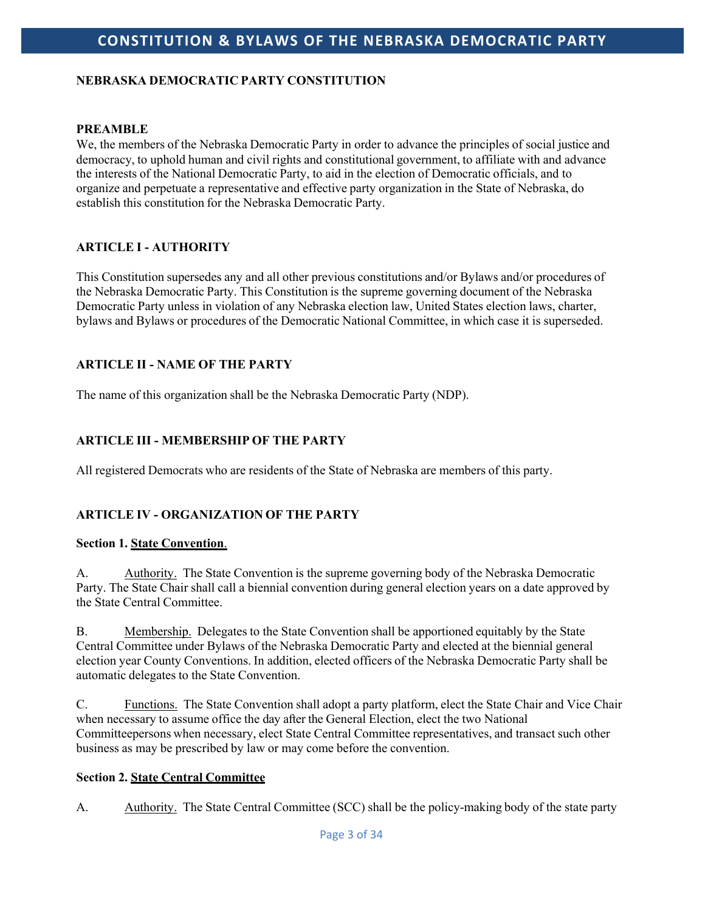## **NEBRASKA DEMOCRATIC PARTY CONSTITUTION**

#### **PREAMBLE**

We, the members of the Nebraska Democratic Party in order to advance the principles of social justice and democracy, to uphold human and civil rights and constitutional government, to affiliate with and advance the interests of the National Democratic Party, to aid in the election of Democratic officials, and to organize and perpetuate a representative and effective party organization in the State of Nebraska, do establish this constitution for the Nebraska Democratic Party.

## **ARTICLE I - AUTHORITY**

This Constitution supersedes any and all other previous constitutions and/or Bylaws and/or procedures of the Nebraska Democratic Party. This Constitution is the supreme governing document of the Nebraska Democratic Party unless in violation of any Nebraska election law, United States election laws, charter, bylaws and Bylaws or procedures of the Democratic National Committee, in which case it is superseded.

## **ARTICLE II - NAME OF THE PARTY**

The name of this organization shall be the Nebraska Democratic Party (NDP).

## **ARTICLE III - MEMBERSHIP OF THE PARTY**

All registered Democrats who are residents of the State of Nebraska are members of this party.

## **ARTICLE IV - ORGANIZATION OF THE PARTY**

#### **Section 1. State Convention**.

A. Authority. The State Convention is the supreme governing body of the Nebraska Democratic Party. The State Chair shall call a biennial convention during general election years on a date approved by the State Central Committee.

B. Membership. Delegates to the State Convention shall be apportioned equitably by the State Central Committee under Bylaws of the Nebraska Democratic Party and elected at the biennial general election year County Conventions. In addition, elected officers of the Nebraska Democratic Party shall be automatic delegates to the State Convention.

C. Functions. The State Convention shall adopt a party platform, elect the State Chair and Vice Chair when necessary to assume office the day after the General Election, elect the two National Committeepersons when necessary, elect State Central Committee representatives, and transact such other business as may be prescribed by law or may come before the convention.

#### **Section 2. State Central Committee**

A. Authority. The State Central Committee (SCC) shall be the policy-making body of the state party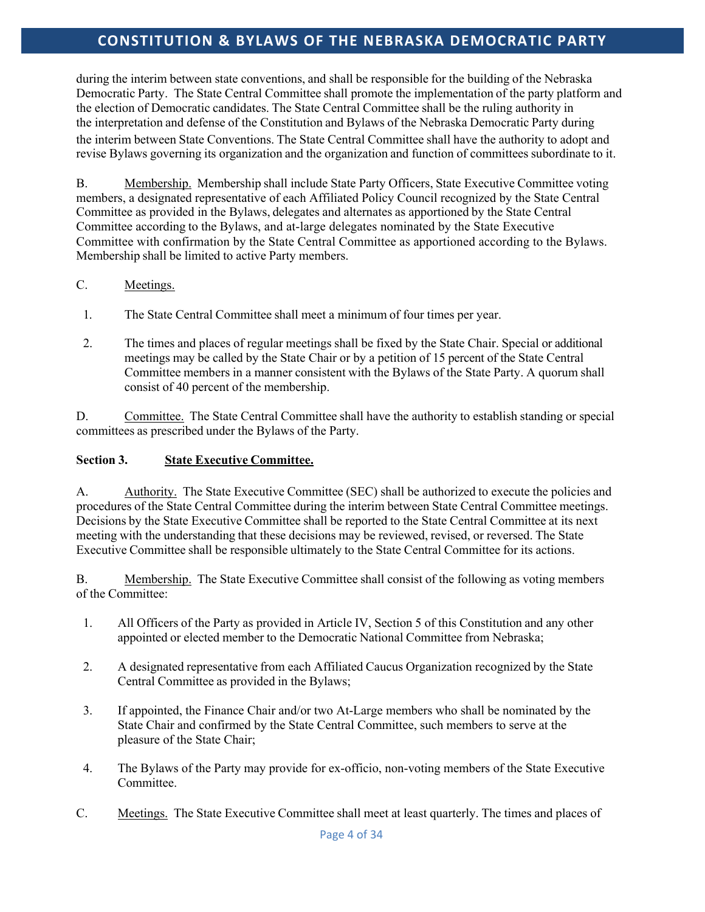during the interim between state conventions, and shall be responsible for the building of the Nebraska Democratic Party. The State Central Committee shall promote the implementation of the party platform and the election of Democratic candidates. The State Central Committee shall be the ruling authority in the interpretation and defense of the Constitution and Bylaws of the Nebraska Democratic Party during the interim between State Conventions. The State Central Committee shall have the authority to adopt and revise Bylaws governing its organization and the organization and function of committees subordinate to it.

B. Membership. Membership shall include State Party Officers, State Executive Committee voting members, a designated representative of each Affiliated Policy Council recognized by the State Central Committee as provided in the Bylaws, delegates and alternates as apportioned by the State Central Committee according to the Bylaws, and at-large delegates nominated by the State Executive Committee with confirmation by the State Central Committee as apportioned according to the Bylaws. Membership shall be limited to active Party members.

## C. Meetings.

- 1. The State Central Committee shall meet a minimum of four times per year.
- 2. The times and places of regular meetings shall be fixed by the State Chair. Special or additional meetings may be called by the State Chair or by a petition of 15 percent of the State Central Committee members in a manner consistent with the Bylaws of the State Party. A quorum shall consist of 40 percent of the membership.

D. Committee. The State Central Committee shall have the authority to establish standing or special committees as prescribed under the Bylaws of the Party.

## **Section 3. State Executive Committee.**

A. Authority. The State Executive Committee (SEC) shall be authorized to execute the policies and procedures of the State Central Committee during the interim between State Central Committee meetings. Decisions by the State Executive Committee shall be reported to the State Central Committee at its next meeting with the understanding that these decisions may be reviewed, revised, or reversed. The State Executive Committee shall be responsible ultimately to the State Central Committee for its actions.

B. Membership. The State Executive Committee shall consist of the following as voting members of the Committee:

- 1. All Officers of the Party as provided in Article IV, Section 5 of this Constitution and any other appointed or elected member to the Democratic National Committee from Nebraska;
- 2. A designated representative from each Affiliated Caucus Organization recognized by the State Central Committee as provided in the Bylaws;
- 3. If appointed, the Finance Chair and/or two At-Large members who shall be nominated by the State Chair and confirmed by the State Central Committee, such members to serve at the pleasure of the State Chair;
- 4. The Bylaws of the Party may provide for ex-officio, non-voting members of the State Executive Committee.
- C. Meetings. The State Executive Committee shall meet at least quarterly. The times and places of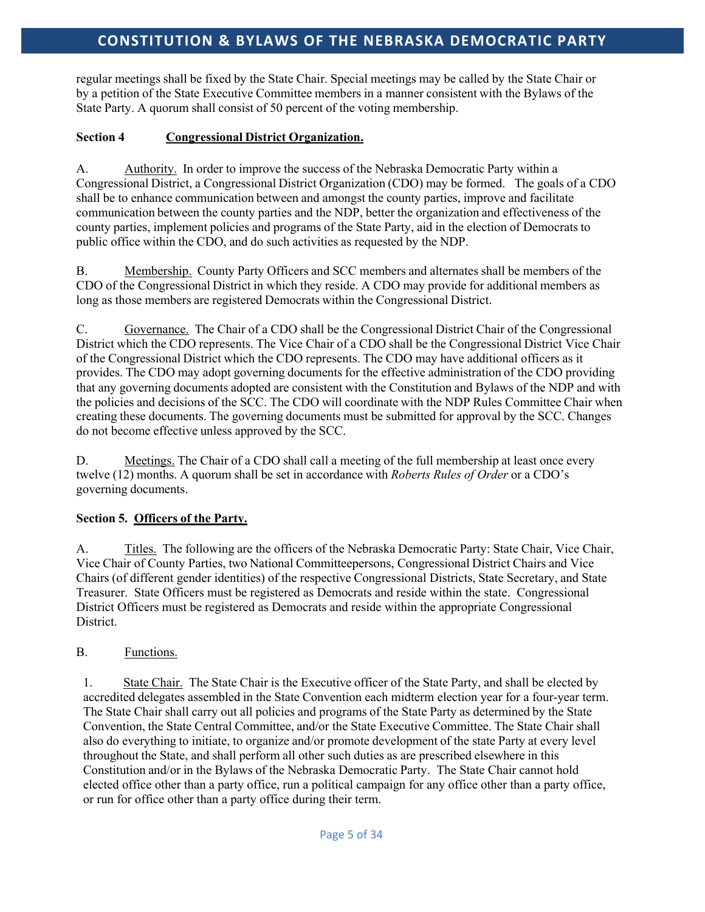regular meetings shall be fixed by the State Chair. Special meetings may be called by the State Chair or by a petition of the State Executive Committee members in a manner consistent with the Bylaws of the State Party. A quorum shall consist of 50 percent of the voting membership.

## **Section 4 Congressional District Organization.**

A. Authority. In order to improve the success of the Nebraska Democratic Party within a Congressional District, a Congressional District Organization (CDO) may be formed. The goals of a CDO shall be to enhance communication between and amongst the county parties, improve and facilitate communication between the county parties and the NDP, better the organization and effectiveness of the county parties, implement policies and programs of the State Party, aid in the election of Democrats to public office within the CDO, and do such activities as requested by the NDP.

B. Membership. County Party Officers and SCC members and alternates shall be members of the CDO of the Congressional District in which they reside. A CDO may provide for additional members as long as those members are registered Democrats within the Congressional District.

C. Governance. The Chair of a CDO shall be the Congressional District Chair of the Congressional District which the CDO represents. The Vice Chair of a CDO shall be the Congressional District Vice Chair of the Congressional District which the CDO represents. The CDO may have additional officers as it provides. The CDO may adopt governing documents for the effective administration of the CDO providing that any governing documents adopted are consistent with the Constitution and Bylaws of the NDP and with the policies and decisions of the SCC. The CDO will coordinate with the NDP Rules Committee Chair when creating these documents. The governing documents must be submitted for approval by the SCC. Changes do not become effective unless approved by the SCC.

D. Meetings. The Chair of a CDO shall call a meeting of the full membership at least once every twelve (12) months. A quorum shall be set in accordance with *Roberts Rules of Order* or a CDO's governing documents.

## **Section 5. Officers of the Party.**

A. Titles. The following are the officers of the Nebraska Democratic Party: State Chair, Vice Chair, Vice Chair of County Parties, two National Committeepersons, Congressional District Chairs and Vice Chairs (of different gender identities) of the respective Congressional Districts, State Secretary, and State Treasurer. State Officers must be registered as Democrats and reside within the state. Congressional District Officers must be registered as Democrats and reside within the appropriate Congressional District.

## B. Functions.

1. State Chair. The State Chair is the Executive officer of the State Party, and shall be elected by accredited delegates assembled in the State Convention each midterm election year for a four-year term. The State Chair shall carry out all policies and programs of the State Party as determined by the State Convention, the State Central Committee, and/or the State Executive Committee. The State Chair shall also do everything to initiate, to organize and/or promote development of the state Party at every level throughout the State, and shall perform all other such duties as are prescribed elsewhere in this Constitution and/or in the Bylaws of the Nebraska Democratic Party. The State Chair cannot hold elected office other than a party office, run a political campaign for any office other than a party office, or run for office other than a party office during their term.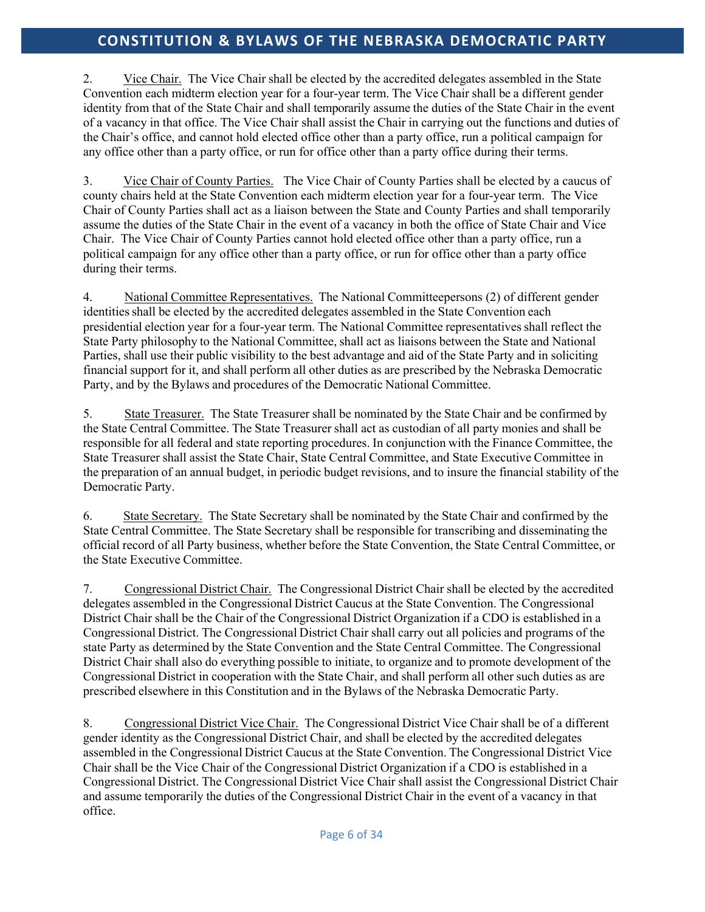2. Vice Chair. The Vice Chair shall be elected by the accredited delegates assembled in the State Convention each midterm election year for a four-year term. The Vice Chair shall be a different gender identity from that of the State Chair and shall temporarily assume the duties of the State Chair in the event of a vacancy in that office. The Vice Chair shall assist the Chair in carrying out the functions and duties of the Chair's office, and cannot hold elected office other than a party office, run a political campaign for any office other than a party office, or run for office other than a party office during their terms.

3. Vice Chair of County Parties. The Vice Chair of County Parties shall be elected by a caucus of county chairs held at the State Convention each midterm election year for a four-year term. The Vice Chair of County Parties shall act as a liaison between the State and County Parties and shall temporarily assume the duties of the State Chair in the event of a vacancy in both the office of State Chair and Vice Chair. The Vice Chair of County Parties cannot hold elected office other than a party office, run a political campaign for any office other than a party office, or run for office other than a party office during their terms.

4. National Committee Representatives. The National Committeepersons (2) of different gender identities shall be elected by the accredited delegates assembled in the State Convention each presidential election year for a four-year term. The National Committee representatives shall reflect the State Party philosophy to the National Committee, shall act as liaisons between the State and National Parties, shall use their public visibility to the best advantage and aid of the State Party and in soliciting financial support for it, and shall perform all other duties as are prescribed by the Nebraska Democratic Party, and by the Bylaws and procedures of the Democratic National Committee.

5. State Treasurer. The State Treasurer shall be nominated by the State Chair and be confirmed by the State Central Committee. The State Treasurer shall act as custodian of all party monies and shall be responsible for all federal and state reporting procedures. In conjunction with the Finance Committee, the State Treasurer shall assist the State Chair, State Central Committee, and State Executive Committee in the preparation of an annual budget, in periodic budget revisions, and to insure the financial stability of the Democratic Party.

6. State Secretary. The State Secretary shall be nominated by the State Chair and confirmed by the State Central Committee. The State Secretary shall be responsible for transcribing and disseminating the official record of all Party business, whether before the State Convention, the State Central Committee, or the State Executive Committee.

7. Congressional District Chair. The Congressional District Chair shall be elected by the accredited delegates assembled in the Congressional District Caucus at the State Convention. The Congressional District Chair shall be the Chair of the Congressional District Organization if a CDO is established in a Congressional District. The Congressional District Chair shall carry out all policies and programs of the state Party as determined by the State Convention and the State Central Committee. The Congressional District Chair shall also do everything possible to initiate, to organize and to promote development of the Congressional District in cooperation with the State Chair, and shall perform all other such duties as are prescribed elsewhere in this Constitution and in the Bylaws of the Nebraska Democratic Party.

8. Congressional District Vice Chair. The Congressional District Vice Chair shall be of a different gender identity as the Congressional District Chair, and shall be elected by the accredited delegates assembled in the Congressional District Caucus at the State Convention. The Congressional District Vice Chair shall be the Vice Chair of the Congressional District Organization if a CDO is established in a Congressional District. The Congressional District Vice Chair shall assist the Congressional District Chair and assume temporarily the duties of the Congressional District Chair in the event of a vacancy in that office.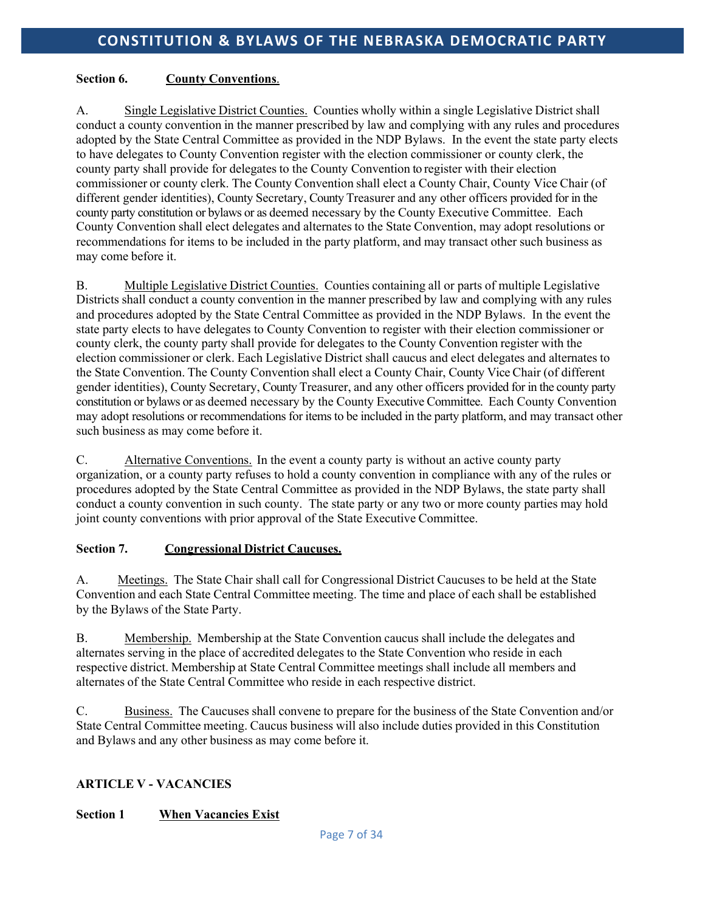## **Section 6. County Conventions**.

A. Single Legislative District Counties. Counties wholly within a single Legislative District shall conduct a county convention in the manner prescribed by law and complying with any rules and procedures adopted by the State Central Committee as provided in the NDP Bylaws. In the event the state party elects to have delegates to County Convention register with the election commissioner or county clerk, the county party shall provide for delegates to the County Convention to register with their election commissioner or county clerk. The County Convention shall elect a County Chair, County Vice Chair (of different gender identities), County Secretary, County Treasurer and any other officers provided for in the county party constitution or bylaws or as deemed necessary by the County Executive Committee. Each County Convention shall elect delegates and alternates to the State Convention, may adopt resolutions or recommendations for items to be included in the party platform, and may transact other such business as may come before it.

B. Multiple Legislative District Counties. Counties containing all or parts of multiple Legislative Districts shall conduct a county convention in the manner prescribed by law and complying with any rules and procedures adopted by the State Central Committee as provided in the NDP Bylaws. In the event the state party elects to have delegates to County Convention to register with their election commissioner or county clerk, the county party shall provide for delegates to the County Convention register with the election commissioner or clerk. Each Legislative District shall caucus and elect delegates and alternates to the State Convention. The County Convention shall elect a County Chair, County Vice Chair (of different gender identities), County Secretary, County Treasurer, and any other officers provided for in the county party constitution or bylaws or as deemed necessary by the County Executive Committee. Each County Convention may adopt resolutions or recommendations for items to be included in the party platform, and may transact other such business as may come before it.

C. Alternative Conventions. In the event a county party is without an active county party organization, or a county party refuses to hold a county convention in compliance with any of the rules or procedures adopted by the State Central Committee as provided in the NDP Bylaws, the state party shall conduct a county convention in such county. The state party or any two or more county parties may hold joint county conventions with prior approval of the State Executive Committee.

## **Section 7. Congressional District Caucuses.**

A. Meetings. The State Chair shall call for Congressional District Caucuses to be held at the State Convention and each State Central Committee meeting. The time and place of each shall be established by the Bylaws of the State Party.

B. Membership. Membership at the State Convention caucus shall include the delegates and alternates serving in the place of accredited delegates to the State Convention who reside in each respective district. Membership at State Central Committee meetings shall include all members and alternates of the State Central Committee who reside in each respective district.

C. Business. The Caucuses shall convene to prepare for the business of the State Convention and/or State Central Committee meeting. Caucus business will also include duties provided in this Constitution and Bylaws and any other business as may come before it.

## **ARTICLE V - VACANCIES**

## **Section 1 When Vacancies Exist**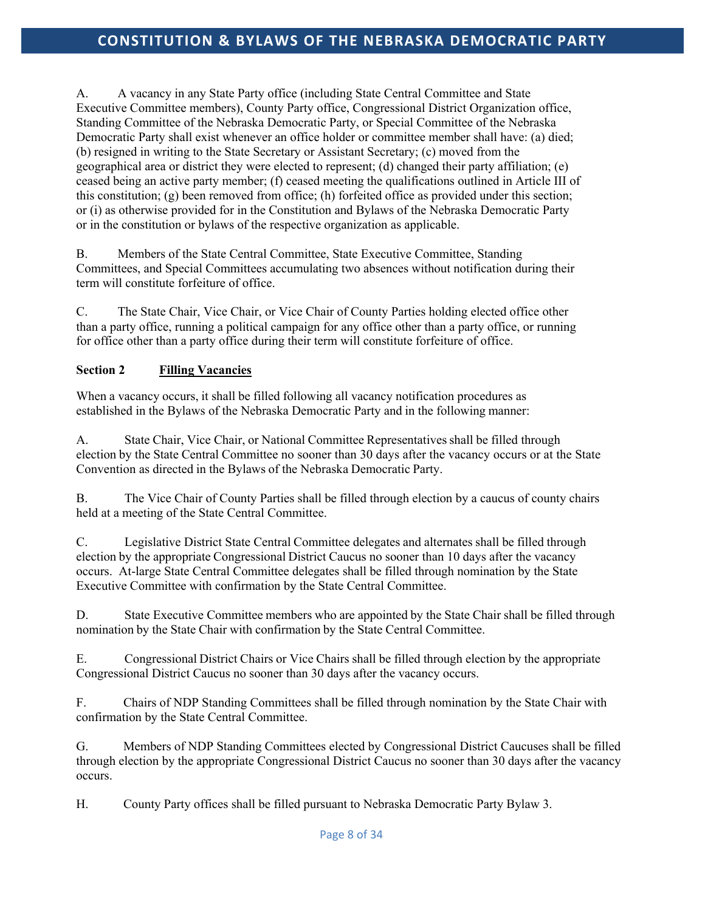A. A vacancy in any State Party office (including State Central Committee and State Executive Committee members), County Party office, Congressional District Organization office, Standing Committee of the Nebraska Democratic Party, or Special Committee of the Nebraska Democratic Party shall exist whenever an office holder or committee member shall have: (a) died; (b) resigned in writing to the State Secretary or Assistant Secretary; (c) moved from the geographical area or district they were elected to represent; (d) changed their party affiliation; (e) ceased being an active party member; (f) ceased meeting the qualifications outlined in Article III of this constitution; (g) been removed from office; (h) forfeited office as provided under this section; or (i) as otherwise provided for in the Constitution and Bylaws of the Nebraska Democratic Party or in the constitution or bylaws of the respective organization as applicable.

B. Members of the State Central Committee, State Executive Committee, Standing Committees, and Special Committees accumulating two absences without notification during their term will constitute forfeiture of office.

C. The State Chair, Vice Chair, or Vice Chair of County Parties holding elected office other than a party office, running a political campaign for any office other than a party office, or running for office other than a party office during their term will constitute forfeiture of office.

## **Section 2 Filling Vacancies**

When a vacancy occurs, it shall be filled following all vacancy notification procedures as established in the Bylaws of the Nebraska Democratic Party and in the following manner:

A. State Chair, Vice Chair, or National Committee Representatives shall be filled through election by the State Central Committee no sooner than 30 days after the vacancy occurs or at the State Convention as directed in the Bylaws of the Nebraska Democratic Party.

B. The Vice Chair of County Parties shall be filled through election by a caucus of county chairs held at a meeting of the State Central Committee.

C. Legislative District State Central Committee delegates and alternates shall be filled through election by the appropriate Congressional District Caucus no sooner than 10 days after the vacancy occurs. At-large State Central Committee delegates shall be filled through nomination by the State Executive Committee with confirmation by the State Central Committee.

D. State Executive Committee members who are appointed by the State Chair shall be filled through nomination by the State Chair with confirmation by the State Central Committee.

E. Congressional District Chairs or Vice Chairs shall be filled through election by the appropriate Congressional District Caucus no sooner than 30 days after the vacancy occurs.

F. Chairs of NDP Standing Committees shall be filled through nomination by the State Chair with confirmation by the State Central Committee.

G. Members of NDP Standing Committees elected by Congressional District Caucuses shall be filled through election by the appropriate Congressional District Caucus no sooner than 30 days after the vacancy occurs.

H. County Party offices shall be filled pursuant to Nebraska Democratic Party Bylaw 3.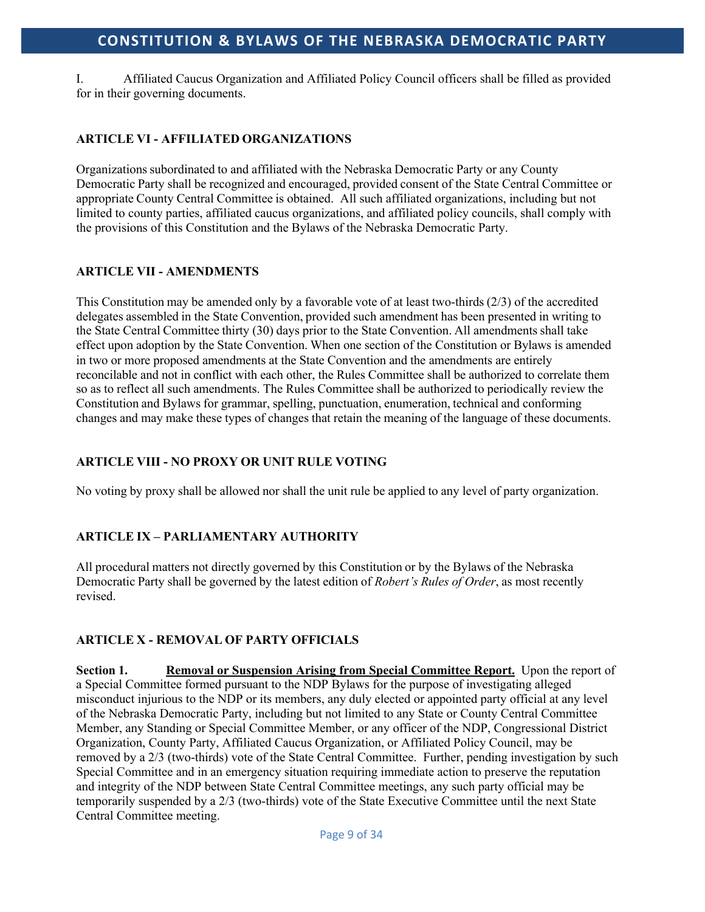I. Affiliated Caucus Organization and Affiliated Policy Council officers shall be filled as provided for in their governing documents.

## **ARTICLE VI - AFFILIATED ORGANIZATIONS**

Organizationssubordinated to and affiliated with the Nebraska Democratic Party or any County Democratic Party shall be recognized and encouraged, provided consent of the State Central Committee or appropriate County Central Committee is obtained. All such affiliated organizations, including but not limited to county parties, affiliated caucus organizations, and affiliated policy councils, shall comply with the provisions of this Constitution and the Bylaws of the Nebraska Democratic Party.

#### **ARTICLE VII - AMENDMENTS**

This Constitution may be amended only by a favorable vote of at least two-thirds (2/3) of the accredited delegates assembled in the State Convention, provided such amendment has been presented in writing to the State Central Committee thirty (30) days prior to the State Convention. All amendments shall take effect upon adoption by the State Convention. When one section of the Constitution or Bylaws is amended in two or more proposed amendments at the State Convention and the amendments are entirely reconcilable and not in conflict with each other, the Rules Committee shall be authorized to correlate them so as to reflect all such amendments. The Rules Committee shall be authorized to periodically review the Constitution and Bylaws for grammar, spelling, punctuation, enumeration, technical and conforming changes and may make these types of changes that retain the meaning of the language of these documents.

## **ARTICLE VIII - NO PROXY OR UNIT RULE VOTING**

No voting by proxy shall be allowed nor shall the unit rule be applied to any level of party organization.

## **ARTICLE IX – PARLIAMENTARY AUTHORITY**

All procedural matters not directly governed by this Constitution or by the Bylaws of the Nebraska Democratic Party shall be governed by the latest edition of *Robert's Rules of Order*, as most recently revised.

## **ARTICLE X - REMOVAL OF PARTY OFFICIALS**

**Section 1. Removal or Suspension Arising from Special Committee Report.** Upon the report of a Special Committee formed pursuant to the NDP Bylaws for the purpose of investigating alleged misconduct injurious to the NDP or its members, any duly elected or appointed party official at any level of the Nebraska Democratic Party, including but not limited to any State or County Central Committee Member, any Standing or Special Committee Member, or any officer of the NDP, Congressional District Organization, County Party, Affiliated Caucus Organization, or Affiliated Policy Council, may be removed by a 2/3 (two-thirds) vote of the State Central Committee. Further, pending investigation by such Special Committee and in an emergency situation requiring immediate action to preserve the reputation and integrity of the NDP between State Central Committee meetings, any such party official may be temporarily suspended by a 2/3 (two-thirds) vote of the State Executive Committee until the next State Central Committee meeting.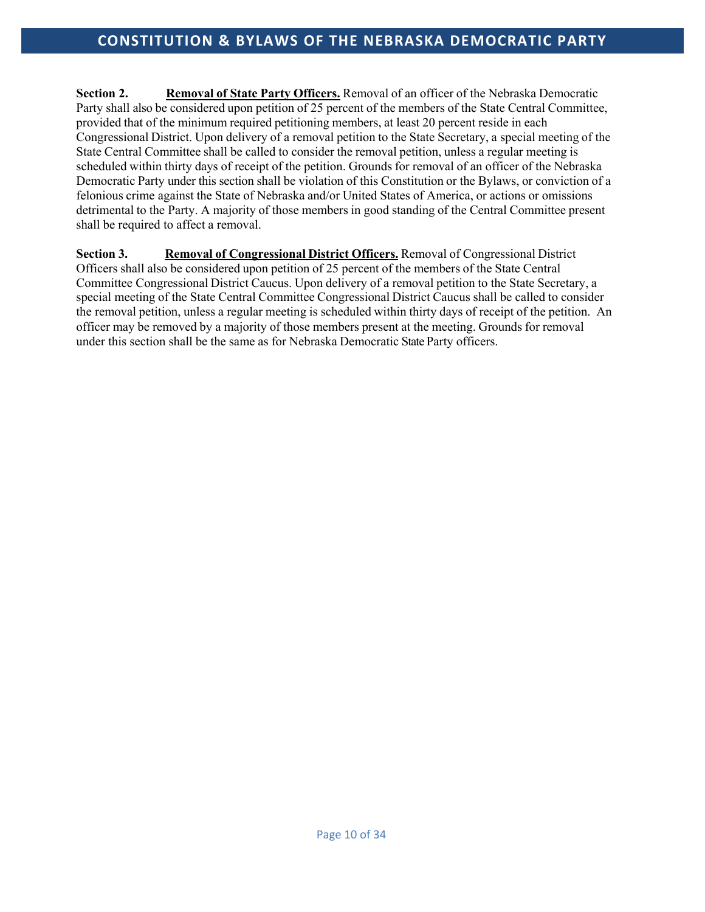**Section 2. Removal of State Party Officers.** Removal of an officer of the Nebraska Democratic Party shall also be considered upon petition of 25 percent of the members of the State Central Committee, provided that of the minimum required petitioning members, at least 20 percent reside in each Congressional District. Upon delivery of a removal petition to the State Secretary, a special meeting of the State Central Committee shall be called to consider the removal petition, unless a regular meeting is scheduled within thirty days of receipt of the petition. Grounds for removal of an officer of the Nebraska Democratic Party under this section shall be violation of this Constitution or the Bylaws, or conviction of a felonious crime against the State of Nebraska and/or United States of America, or actions or omissions detrimental to the Party. A majority of those members in good standing of the Central Committee present shall be required to affect a removal.

**Section 3. Removal of Congressional District Officers.** Removal of Congressional District Officers shall also be considered upon petition of 25 percent of the members of the State Central Committee Congressional District Caucus. Upon delivery of a removal petition to the State Secretary, a special meeting of the State Central Committee Congressional District Caucus shall be called to consider the removal petition, unless a regular meeting is scheduled within thirty days of receipt of the petition. An officer may be removed by a majority of those members present at the meeting. Grounds for removal under this section shall be the same as for Nebraska Democratic State Party officers.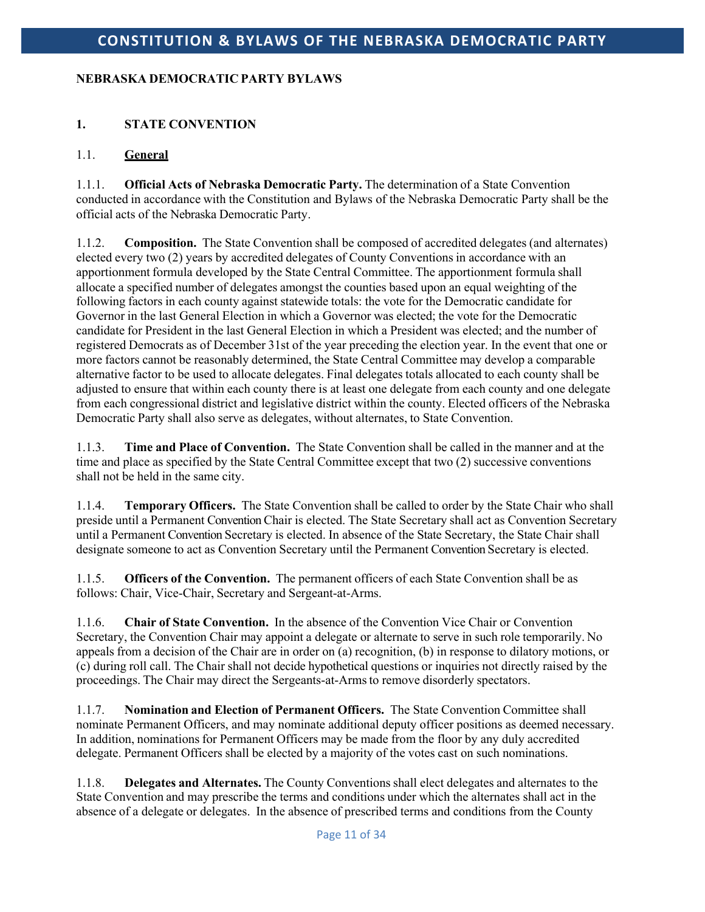## **NEBRASKA DEMOCRATIC PARTY BYLAWS**

## **1. STATE CONVENTION**

## 1.1. **General**

1.1.1. **Official Acts of Nebraska Democratic Party.** The determination of a State Convention conducted in accordance with the Constitution and Bylaws of the Nebraska Democratic Party shall be the official acts of the Nebraska Democratic Party.

1.1.2. **Composition.** The State Convention shall be composed of accredited delegates (and alternates) elected every two (2) years by accredited delegates of County Conventions in accordance with an apportionment formula developed by the State Central Committee. The apportionment formula shall allocate a specified number of delegates amongst the counties based upon an equal weighting of the following factors in each county against statewide totals: the vote for the Democratic candidate for Governor in the last General Election in which a Governor was elected; the vote for the Democratic candidate for President in the last General Election in which a President was elected; and the number of registered Democrats as of December 31st of the year preceding the election year. In the event that one or more factors cannot be reasonably determined, the State Central Committee may develop a comparable alternative factor to be used to allocate delegates. Final delegates totals allocated to each county shall be adjusted to ensure that within each county there is at least one delegate from each county and one delegate from each congressional district and legislative district within the county. Elected officers of the Nebraska Democratic Party shall also serve as delegates, without alternates, to State Convention.

1.1.3. **Time and Place of Convention.** The State Convention shall be called in the manner and at the time and place as specified by the State Central Committee except that two (2) successive conventions shall not be held in the same city.

1.1.4. **Temporary Officers.** The State Convention shall be called to order by the State Chair who shall preside until a Permanent Convention Chair is elected. The State Secretary shall act as Convention Secretary until a Permanent Convention Secretary is elected. In absence of the State Secretary, the State Chair shall designate someone to act as Convention Secretary until the Permanent Convention Secretary is elected.

1.1.5. **Officers of the Convention.** The permanent officers of each State Convention shall be as follows: Chair, Vice-Chair, Secretary and Sergeant-at-Arms.

1.1.6. **Chair of State Convention.** In the absence of the Convention Vice Chair or Convention Secretary, the Convention Chair may appoint a delegate or alternate to serve in such role temporarily. No appeals from a decision of the Chair are in order on (a) recognition, (b) in response to dilatory motions, or (c) during roll call. The Chair shall not decide hypothetical questions or inquiries not directly raised by the proceedings. The Chair may direct the Sergeants-at-Armsto remove disorderly spectators.

1.1.7. **Nomination and Election of Permanent Officers.** The State Convention Committee shall nominate Permanent Officers, and may nominate additional deputy officer positions as deemed necessary. In addition, nominations for Permanent Officers may be made from the floor by any duly accredited delegate. Permanent Officers shall be elected by a majority of the votes cast on such nominations.

1.1.8. **Delegates and Alternates.** The County Conventions shall elect delegates and alternates to the State Convention and may prescribe the terms and conditions under which the alternates shall act in the absence of a delegate or delegates. In the absence of prescribed terms and conditions from the County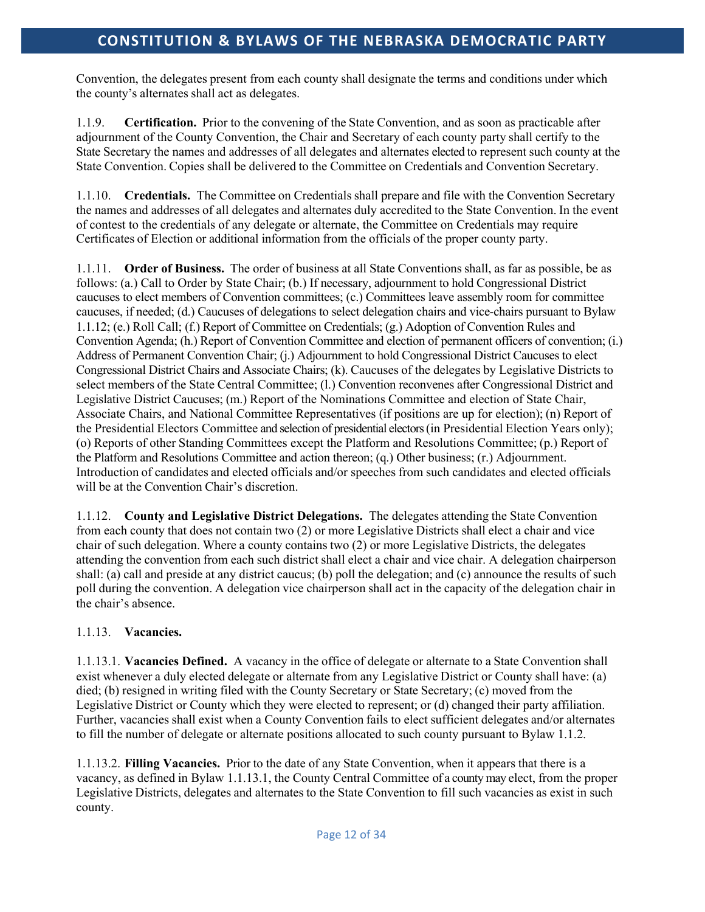Convention, the delegates present from each county shall designate the terms and conditions under which the county's alternates shall act as delegates.

1.1.9. **Certification.** Prior to the convening of the State Convention, and as soon as practicable after adjournment of the County Convention, the Chair and Secretary of each county party shall certify to the State Secretary the names and addresses of all delegates and alternates elected to represent such county at the State Convention. Copies shall be delivered to the Committee on Credentials and Convention Secretary.

1.1.10. **Credentials.** The Committee on Credentials shall prepare and file with the Convention Secretary the names and addresses of all delegates and alternates duly accredited to the State Convention. In the event of contest to the credentials of any delegate or alternate, the Committee on Credentials may require Certificates of Election or additional information from the officials of the proper county party.

1.1.11. **Order of Business.** The order of business at all State Conventions shall, as far as possible, be as follows: (a.) Call to Order by State Chair; (b.) If necessary, adjournment to hold Congressional District caucuses to elect members of Convention committees; (c.) Committees leave assembly room for committee caucuses, if needed; (d.) Caucuses of delegations to select delegation chairs and vice-chairs pursuant to Bylaw 1.1.12; (e.) Roll Call; (f.) Report of Committee on Credentials; (g.) Adoption of Convention Rules and Convention Agenda; (h.) Report of Convention Committee and election of permanent officers of convention; (i.) Address of Permanent Convention Chair; (j.) Adjournment to hold Congressional District Caucuses to elect Congressional District Chairs and Associate Chairs; (k). Caucuses of the delegates by Legislative Districts to select members of the State Central Committee; (l.) Convention reconvenes after Congressional District and Legislative District Caucuses; (m.) Report of the Nominations Committee and election of State Chair, Associate Chairs, and National Committee Representatives (if positions are up for election); (n) Report of the Presidential Electors Committee and selection of presidential electors (in Presidential Election Years only); (o) Reports of other Standing Committees except the Platform and Resolutions Committee; (p.) Report of the Platform and Resolutions Committee and action thereon; (q.) Other business; (r.) Adjournment. Introduction of candidates and elected officials and/or speeches from such candidates and elected officials will be at the Convention Chair's discretion.

1.1.12. **County and Legislative District Delegations.** The delegates attending the State Convention from each county that does not contain two (2) or more Legislative Districts shall elect a chair and vice chair of such delegation. Where a county contains two (2) or more Legislative Districts, the delegates attending the convention from each such district shall elect a chair and vice chair. A delegation chairperson shall: (a) call and preside at any district caucus; (b) poll the delegation; and (c) announce the results of such poll during the convention. A delegation vice chairperson shall act in the capacity of the delegation chair in the chair's absence.

## 1.1.13. **Vacancies.**

1.1.13.1. **Vacancies Defined.** A vacancy in the office of delegate or alternate to a State Convention shall exist whenever a duly elected delegate or alternate from any Legislative District or County shall have: (a) died; (b) resigned in writing filed with the County Secretary or State Secretary; (c) moved from the Legislative District or County which they were elected to represent; or (d) changed their party affiliation. Further, vacancies shall exist when a County Convention fails to elect sufficient delegates and/or alternates to fill the number of delegate or alternate positions allocated to such county pursuant to Bylaw 1.1.2.

1.1.13.2. **Filling Vacancies.** Prior to the date of any State Convention, when it appears that there is a vacancy, as defined in Bylaw 1.1.13.1, the County Central Committee of a county may elect, from the proper Legislative Districts, delegates and alternates to the State Convention to fill such vacancies as exist in such county.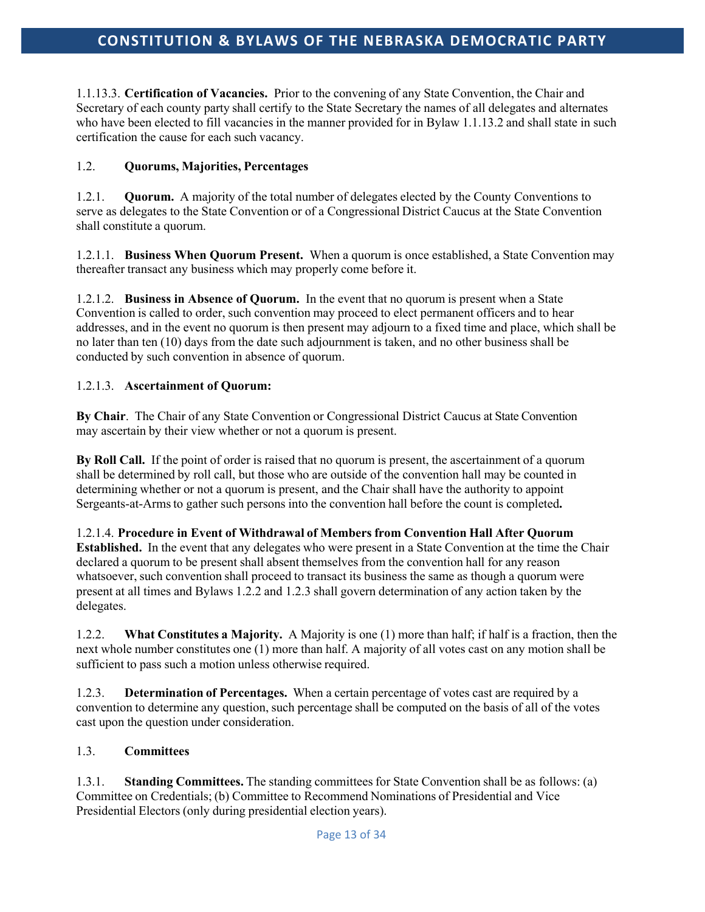1.1.13.3. **Certification of Vacancies.** Prior to the convening of any State Convention, the Chair and Secretary of each county party shall certify to the State Secretary the names of all delegates and alternates who have been elected to fill vacancies in the manner provided for in Bylaw 1.1.13.2 and shall state in such certification the cause for each such vacancy.

## 1.2. **Quorums, Majorities, Percentages**

1.2.1. **Quorum.** A majority of the total number of delegates elected by the County Conventions to serve as delegates to the State Convention or of a Congressional District Caucus at the State Convention shall constitute a quorum.

1.2.1.1. **Business When Quorum Present.** When a quorum is once established, a State Convention may thereafter transact any business which may properly come before it.

1.2.1.2. **Business in Absence of Quorum.** In the event that no quorum is present when a State Convention is called to order, such convention may proceed to elect permanent officers and to hear addresses, and in the event no quorum is then present may adjourn to a fixed time and place, which shall be no later than ten (10) days from the date such adjournment is taken, and no other business shall be conducted by such convention in absence of quorum.

#### 1.2.1.3. **Ascertainment of Quorum:**

**By Chair**. The Chair of any State Convention or Congressional District Caucus at State Convention may ascertain by their view whether or not a quorum is present.

**By Roll Call.** If the point of order is raised that no quorum is present, the ascertainment of a quorum shall be determined by roll call, but those who are outside of the convention hall may be counted in determining whether or not a quorum is present, and the Chair shall have the authority to appoint Sergeants-at-Armsto gather such persons into the convention hall before the count is completed**.**

1.2.1.4. **Procedure in Event of Withdrawal of Members from Convention Hall After Quorum Established.** In the event that any delegates who were present in a State Convention at the time the Chair declared a quorum to be present shall absent themselves from the convention hall for any reason whatsoever, such convention shall proceed to transact its business the same as though a quorum were present at all times and Bylaws 1.2.2 and 1.2.3 shall govern determination of any action taken by the delegates.

1.2.2. **What Constitutes a Majority.** A Majority is one (1) more than half; if half is a fraction, then the next whole number constitutes one (1) more than half. A majority of all votes cast on any motion shall be sufficient to pass such a motion unless otherwise required.

1.2.3. **Determination of Percentages.** When a certain percentage of votes cast are required by a convention to determine any question, such percentage shall be computed on the basis of all of the votes cast upon the question under consideration.

## 1.3. **Committees**

1.3.1. **Standing Committees.** The standing committees for State Convention shall be as follows: (a) Committee on Credentials; (b) Committee to Recommend Nominations of Presidential and Vice Presidential Electors (only during presidential election years).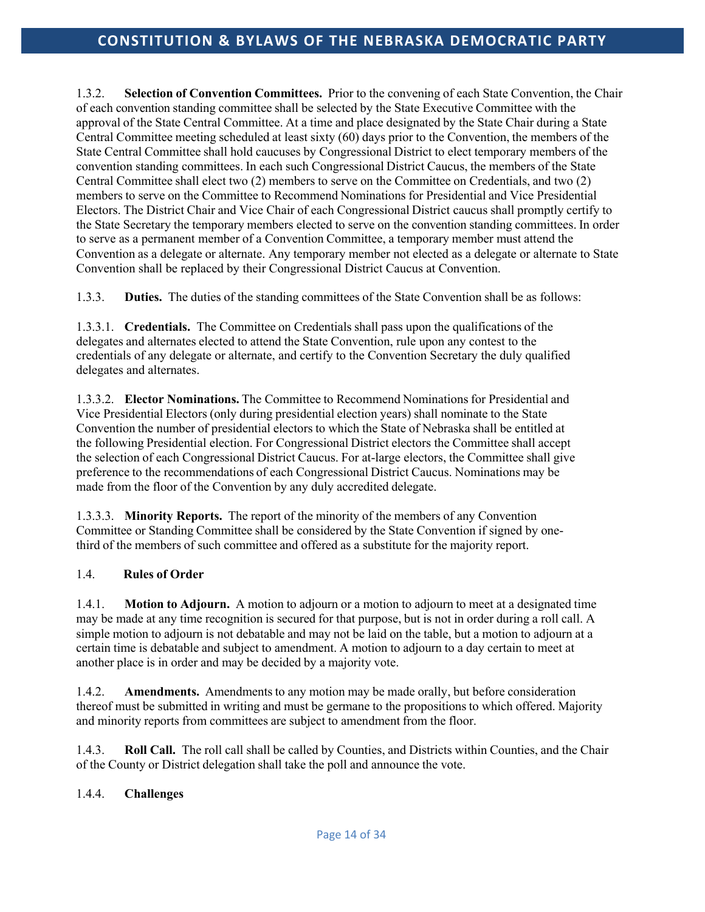1.3.2. **Selection of Convention Committees.** Prior to the convening of each State Convention, the Chair of each convention standing committee shall be selected by the State Executive Committee with the approval of the State Central Committee. At a time and place designated by the State Chair during a State Central Committee meeting scheduled at least sixty (60) days prior to the Convention, the members of the State Central Committee shall hold caucuses by Congressional District to elect temporary members of the convention standing committees. In each such Congressional District Caucus, the members of the State Central Committee shall elect two (2) members to serve on the Committee on Credentials, and two (2) members to serve on the Committee to Recommend Nominations for Presidential and Vice Presidential Electors. The District Chair and Vice Chair of each Congressional District caucus shall promptly certify to the State Secretary the temporary members elected to serve on the convention standing committees. In order to serve as a permanent member of a Convention Committee, a temporary member must attend the Convention as a delegate or alternate. Any temporary member not elected as a delegate or alternate to State Convention shall be replaced by their Congressional District Caucus at Convention.

1.3.3. **Duties.** The duties of the standing committees of the State Convention shall be as follows:

1.3.3.1. **Credentials.** The Committee on Credentials shall pass upon the qualifications of the delegates and alternates elected to attend the State Convention, rule upon any contest to the credentials of any delegate or alternate, and certify to the Convention Secretary the duly qualified delegates and alternates.

1.3.3.2. **Elector Nominations.** The Committee to Recommend Nominations for Presidential and Vice Presidential Electors (only during presidential election years) shall nominate to the State Convention the number of presidential electors to which the State of Nebraska shall be entitled at the following Presidential election. For Congressional District electors the Committee shall accept the selection of each Congressional District Caucus. For at-large electors, the Committee shall give preference to the recommendations of each Congressional District Caucus. Nominations may be made from the floor of the Convention by any duly accredited delegate.

1.3.3.3. **Minority Reports.** The report of the minority of the members of any Convention Committee or Standing Committee shall be considered by the State Convention if signed by onethird of the members of such committee and offered as a substitute for the majority report.

## 1.4. **Rules of Order**

1.4.1. **Motion to Adjourn.** A motion to adjourn or a motion to adjourn to meet at a designated time may be made at any time recognition is secured for that purpose, but is not in order during a roll call. A simple motion to adjourn is not debatable and may not be laid on the table, but a motion to adjourn at a certain time is debatable and subject to amendment. A motion to adjourn to a day certain to meet at another place is in order and may be decided by a majority vote.

1.4.2. **Amendments.** Amendments to any motion may be made orally, but before consideration thereof must be submitted in writing and must be germane to the propositions to which offered. Majority and minority reports from committees are subject to amendment from the floor.

1.4.3. **Roll Call.** The roll call shall be called by Counties, and Districts within Counties, and the Chair of the County or District delegation shall take the poll and announce the vote.

## 1.4.4. **Challenges**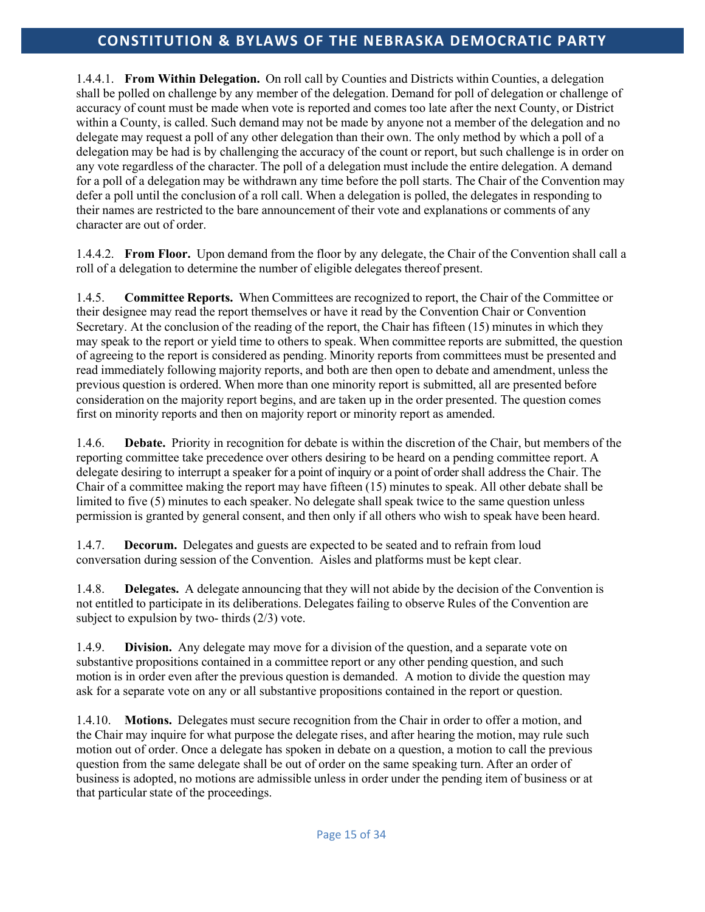1.4.4.1. **From Within Delegation.** On roll call by Counties and Districts within Counties, a delegation shall be polled on challenge by any member of the delegation. Demand for poll of delegation or challenge of accuracy of count must be made when vote is reported and comes too late after the next County, or District within a County, is called. Such demand may not be made by anyone not a member of the delegation and no delegate may request a poll of any other delegation than their own. The only method by which a poll of a delegation may be had is by challenging the accuracy of the count or report, but such challenge is in order on any vote regardless of the character. The poll of a delegation must include the entire delegation. A demand for a poll of a delegation may be withdrawn any time before the poll starts. The Chair of the Convention may defer a poll until the conclusion of a roll call. When a delegation is polled, the delegates in responding to their names are restricted to the bare announcement of their vote and explanations or comments of any character are out of order.

1.4.4.2. **From Floor.** Upon demand from the floor by any delegate, the Chair of the Convention shall call a roll of a delegation to determine the number of eligible delegates thereof present.

1.4.5. **Committee Reports.** When Committees are recognized to report, the Chair of the Committee or their designee may read the report themselves or have it read by the Convention Chair or Convention Secretary. At the conclusion of the reading of the report, the Chair has fifteen (15) minutes in which they may speak to the report or yield time to others to speak. When committee reports are submitted, the question of agreeing to the report is considered as pending. Minority reports from committees must be presented and read immediately following majority reports, and both are then open to debate and amendment, unless the previous question is ordered. When more than one minority report is submitted, all are presented before consideration on the majority report begins, and are taken up in the order presented. The question comes first on minority reports and then on majority report or minority report as amended.

1.4.6. **Debate.** Priority in recognition for debate is within the discretion of the Chair, but members of the reporting committee take precedence over others desiring to be heard on a pending committee report. A delegate desiring to interrupt a speaker for a point of inquiry or a point of order shall address the Chair. The Chair of a committee making the report may have fifteen (15) minutes to speak. All other debate shall be limited to five (5) minutes to each speaker. No delegate shall speak twice to the same question unless permission is granted by general consent, and then only if all others who wish to speak have been heard.

1.4.7. **Decorum.** Delegates and guests are expected to be seated and to refrain from loud conversation during session of the Convention. Aisles and platforms must be kept clear.

1.4.8. **Delegates.** A delegate announcing that they will not abide by the decision of the Convention is not entitled to participate in its deliberations. Delegates failing to observe Rules of the Convention are subject to expulsion by two- thirds (2/3) vote.

1.4.9. **Division.** Any delegate may move for a division of the question, and a separate vote on substantive propositions contained in a committee report or any other pending question, and such motion is in order even after the previous question is demanded. A motion to divide the question may ask for a separate vote on any or all substantive propositions contained in the report or question.

1.4.10. **Motions.** Delegates must secure recognition from the Chair in order to offer a motion, and the Chair may inquire for what purpose the delegate rises, and after hearing the motion, may rule such motion out of order. Once a delegate has spoken in debate on a question, a motion to call the previous question from the same delegate shall be out of order on the same speaking turn. After an order of business is adopted, no motions are admissible unless in order under the pending item of business or at that particular state of the proceedings.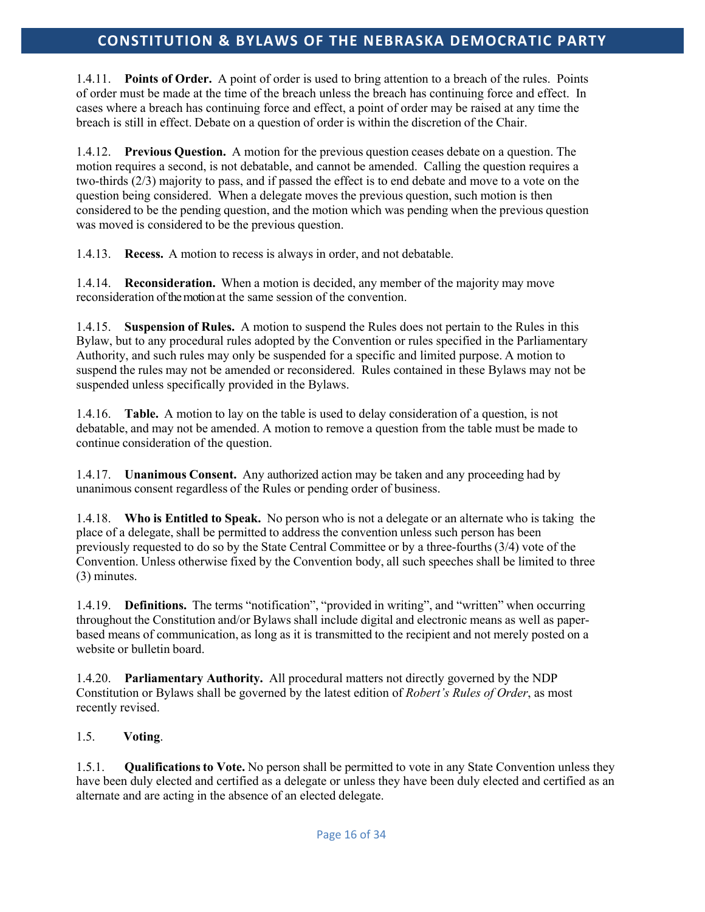1.4.11. **Points of Order.** A point of order is used to bring attention to a breach of the rules. Points of order must be made at the time of the breach unless the breach has continuing force and effect. In cases where a breach has continuing force and effect, a point of order may be raised at any time the breach is still in effect. Debate on a question of order is within the discretion of the Chair.

1.4.12. **Previous Question.** A motion for the previous question ceases debate on a question. The motion requires a second, is not debatable, and cannot be amended. Calling the question requires a two-thirds (2/3) majority to pass, and if passed the effect is to end debate and move to a vote on the question being considered. When a delegate moves the previous question, such motion is then considered to be the pending question, and the motion which was pending when the previous question was moved is considered to be the previous question.

1.4.13. **Recess.** A motion to recess is always in order, and not debatable.

1.4.14. **Reconsideration.** When a motion is decided, any member of the majority may move reconsideration of the motion at the same session of the convention.

1.4.15. **Suspension of Rules.** A motion to suspend the Rules does not pertain to the Rules in this Bylaw, but to any procedural rules adopted by the Convention or rules specified in the Parliamentary Authority, and such rules may only be suspended for a specific and limited purpose. A motion to suspend the rules may not be amended or reconsidered. Rules contained in these Bylaws may not be suspended unless specifically provided in the Bylaws.

1.4.16. **Table.** A motion to lay on the table is used to delay consideration of a question, is not debatable, and may not be amended. A motion to remove a question from the table must be made to continue consideration of the question.

1.4.17. **Unanimous Consent.** Any authorized action may be taken and any proceeding had by unanimous consent regardless of the Rules or pending order of business.

1.4.18. **Who is Entitled to Speak.** No person who is not a delegate or an alternate who is taking the place of a delegate, shall be permitted to address the convention unless such person has been previously requested to do so by the State Central Committee or by a three-fourths (3/4) vote of the Convention. Unless otherwise fixed by the Convention body, all such speeches shall be limited to three (3) minutes.

1.4.19. **Definitions.** The terms "notification", "provided in writing", and "written" when occurring throughout the Constitution and/or Bylaws shall include digital and electronic means as well as paperbased means of communication, as long as it is transmitted to the recipient and not merely posted on a website or bulletin board.

1.4.20. **Parliamentary Authority.** All procedural matters not directly governed by the NDP Constitution or Bylaws shall be governed by the latest edition of *Robert's Rules of Order*, as most recently revised.

## 1.5. **Voting**.

1.5.1. **Qualificationsto Vote.** No person shall be permitted to vote in any State Convention unless they have been duly elected and certified as a delegate or unless they have been duly elected and certified as an alternate and are acting in the absence of an elected delegate.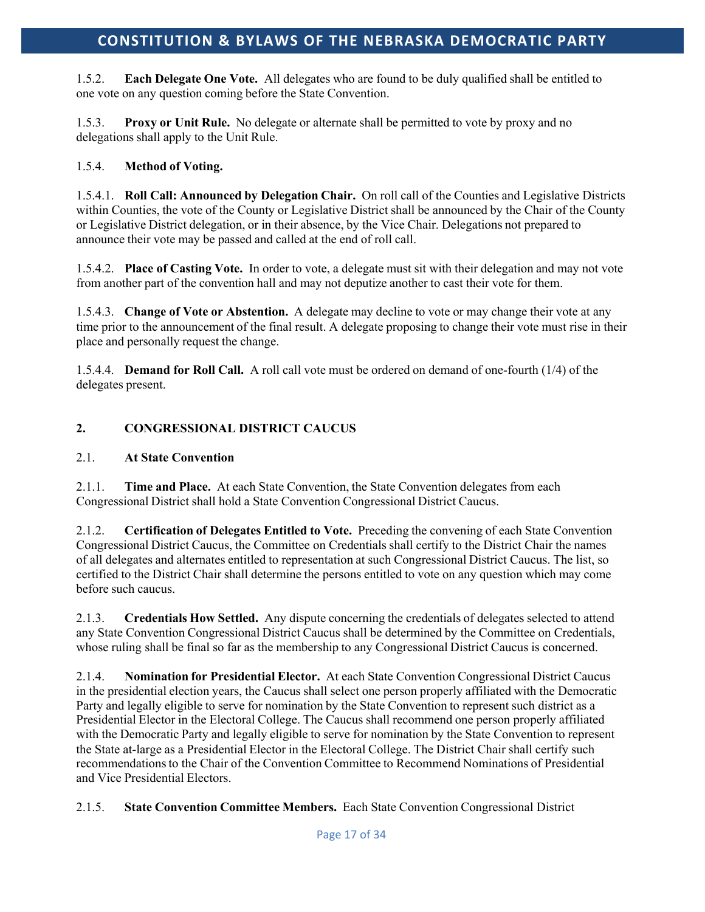1.5.2. **Each Delegate One Vote.** All delegates who are found to be duly qualified shall be entitled to one vote on any question coming before the State Convention.

1.5.3. **Proxy or Unit Rule.** No delegate or alternate shall be permitted to vote by proxy and no delegations shall apply to the Unit Rule.

## 1.5.4. **Method of Voting.**

1.5.4.1. **Roll Call: Announced by Delegation Chair.** On roll call of the Counties and Legislative Districts within Counties, the vote of the County or Legislative District shall be announced by the Chair of the County or Legislative District delegation, or in their absence, by the Vice Chair. Delegations not prepared to announce their vote may be passed and called at the end of roll call.

1.5.4.2. **Place of Casting Vote.** In order to vote, a delegate must sit with their delegation and may not vote from another part of the convention hall and may not deputize another to cast their vote for them.

1.5.4.3. **Change of Vote or Abstention.** A delegate may decline to vote or may change their vote at any time prior to the announcement of the final result. A delegate proposing to change their vote must rise in their place and personally request the change.

1.5.4.4. **Demand for Roll Call.** A roll call vote must be ordered on demand of one-fourth (1/4) of the delegates present.

## **2. CONGRESSIONAL DISTRICT CAUCUS**

## 2.1. **At State Convention**

2.1.1. **Time and Place.** At each State Convention, the State Convention delegates from each Congressional District shall hold a State Convention Congressional District Caucus.

2.1.2. **Certification of Delegates Entitled to Vote.** Preceding the convening of each State Convention Congressional District Caucus, the Committee on Credentials shall certify to the District Chair the names of all delegates and alternates entitled to representation at such Congressional District Caucus. The list, so certified to the District Chair shall determine the persons entitled to vote on any question which may come before such caucus.

2.1.3. **Credentials How Settled.** Any dispute concerning the credentials of delegates selected to attend any State Convention Congressional District Caucus shall be determined by the Committee on Credentials, whose ruling shall be final so far as the membership to any Congressional District Caucus is concerned.

2.1.4. **Nomination for Presidential Elector.** At each State Convention Congressional District Caucus in the presidential election years, the Caucus shall select one person properly affiliated with the Democratic Party and legally eligible to serve for nomination by the State Convention to represent such district as a Presidential Elector in the Electoral College. The Caucus shall recommend one person properly affiliated with the Democratic Party and legally eligible to serve for nomination by the State Convention to represent the State at-large as a Presidential Elector in the Electoral College. The District Chair shall certify such recommendations to the Chair of the Convention Committee to Recommend Nominations of Presidential and Vice Presidential Electors.

2.1.5. **State Convention Committee Members.** Each State Convention Congressional District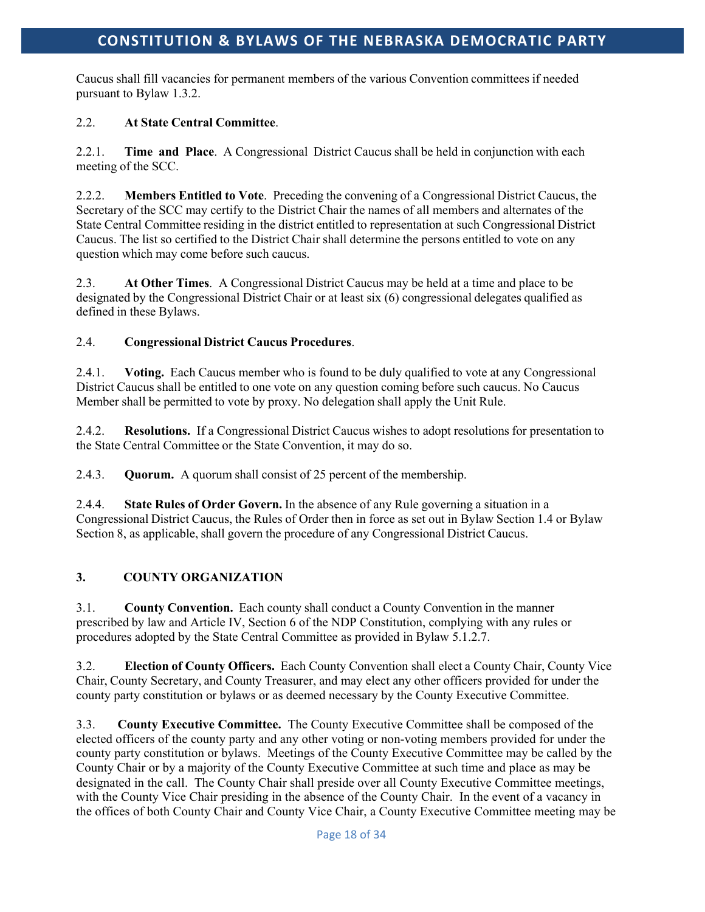Caucus shall fill vacancies for permanent members of the various Convention committees if needed pursuant to Bylaw 1.3.2.

## 2.2. **At State Central Committee**.

2.2.1. **Time and Place**. A Congressional District Caucus shall be held in conjunction with each meeting of the SCC.

2.2.2. **Members Entitled to Vote**. Preceding the convening of a Congressional District Caucus, the Secretary of the SCC may certify to the District Chair the names of all members and alternates of the State Central Committee residing in the district entitled to representation at such Congressional District Caucus. The list so certified to the District Chair shall determine the persons entitled to vote on any question which may come before such caucus.

2.3. **At Other Times**. A Congressional District Caucus may be held at a time and place to be designated by the Congressional District Chair or at least six (6) congressional delegates qualified as defined in these Bylaws.

## 2.4. **Congressional District Caucus Procedures**.

2.4.1. **Voting.** Each Caucus member who is found to be duly qualified to vote at any Congressional District Caucus shall be entitled to one vote on any question coming before such caucus. No Caucus Member shall be permitted to vote by proxy. No delegation shall apply the Unit Rule.

2.4.2. **Resolutions.** If a Congressional District Caucus wishes to adopt resolutions for presentation to the State Central Committee or the State Convention, it may do so.

2.4.3. **Quorum.** A quorum shall consist of 25 percent of the membership.

2.4.4. **State Rules of Order Govern.** In the absence of any Rule governing a situation in a Congressional District Caucus, the Rules of Order then in force as set out in Bylaw Section 1.4 or Bylaw Section 8, as applicable, shall govern the procedure of any Congressional District Caucus.

## **3. COUNTY ORGANIZATION**

3.1. **County Convention.** Each county shall conduct a County Convention in the manner prescribed by law and Article IV, Section 6 of the NDP Constitution, complying with any rules or procedures adopted by the State Central Committee as provided in Bylaw 5.1.2.7.

3.2. **Election of County Officers.** Each County Convention shall elect a County Chair, County Vice Chair, County Secretary, and County Treasurer, and may elect any other officers provided for under the county party constitution or bylaws or as deemed necessary by the County Executive Committee.

3.3. **County Executive Committee.** The County Executive Committee shall be composed of the elected officers of the county party and any other voting or non-voting members provided for under the county party constitution or bylaws. Meetings of the County Executive Committee may be called by the County Chair or by a majority of the County Executive Committee at such time and place as may be designated in the call. The County Chair shall preside over all County Executive Committee meetings, with the County Vice Chair presiding in the absence of the County Chair. In the event of a vacancy in the offices of both County Chair and County Vice Chair, a County Executive Committee meeting may be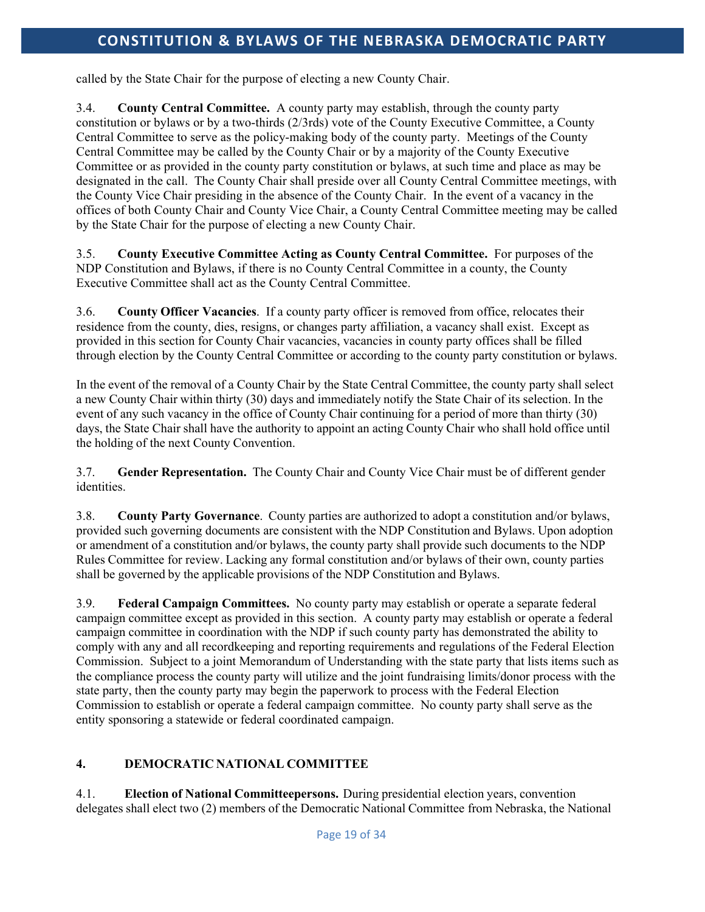called by the State Chair for the purpose of electing a new County Chair.

3.4. **County Central Committee.** A county party may establish, through the county party constitution or bylaws or by a two-thirds (2/3rds) vote of the County Executive Committee, a County Central Committee to serve as the policy-making body of the county party. Meetings of the County Central Committee may be called by the County Chair or by a majority of the County Executive Committee or as provided in the county party constitution or bylaws, at such time and place as may be designated in the call. The County Chair shall preside over all County Central Committee meetings, with the County Vice Chair presiding in the absence of the County Chair. In the event of a vacancy in the offices of both County Chair and County Vice Chair, a County Central Committee meeting may be called by the State Chair for the purpose of electing a new County Chair.

3.5. **County Executive Committee Acting as County Central Committee.** For purposes of the NDP Constitution and Bylaws, if there is no County Central Committee in a county, the County Executive Committee shall act as the County Central Committee.

3.6. **County Officer Vacancies**. If a county party officer is removed from office, relocates their residence from the county, dies, resigns, or changes party affiliation, a vacancy shall exist. Except as provided in this section for County Chair vacancies, vacancies in county party offices shall be filled through election by the County Central Committee or according to the county party constitution or bylaws.

In the event of the removal of a County Chair by the State Central Committee, the county party shall select a new County Chair within thirty (30) days and immediately notify the State Chair of its selection. In the event of any such vacancy in the office of County Chair continuing for a period of more than thirty (30) days, the State Chair shall have the authority to appoint an acting County Chair who shall hold office until the holding of the next County Convention.

3.7. **Gender Representation.** The County Chair and County Vice Chair must be of different gender identities.

3.8. **County Party Governance**. County parties are authorized to adopt a constitution and/or bylaws, provided such governing documents are consistent with the NDP Constitution and Bylaws. Upon adoption or amendment of a constitution and/or bylaws, the county party shall provide such documents to the NDP Rules Committee for review. Lacking any formal constitution and/or bylaws of their own, county parties shall be governed by the applicable provisions of the NDP Constitution and Bylaws.

3.9. **Federal Campaign Committees.** No county party may establish or operate a separate federal campaign committee except as provided in this section. A county party may establish or operate a federal campaign committee in coordination with the NDP if such county party has demonstrated the ability to comply with any and all recordkeeping and reporting requirements and regulations of the Federal Election Commission. Subject to a joint Memorandum of Understanding with the state party that lists items such as the compliance process the county party will utilize and the joint fundraising limits/donor process with the state party, then the county party may begin the paperwork to process with the Federal Election Commission to establish or operate a federal campaign committee. No county party shall serve as the entity sponsoring a statewide or federal coordinated campaign.

## **4. DEMOCRATIC NATIONAL COMMITTEE**

4.1. **Election of National Committeepersons.** During presidential election years, convention delegates shall elect two (2) members of the Democratic National Committee from Nebraska, the National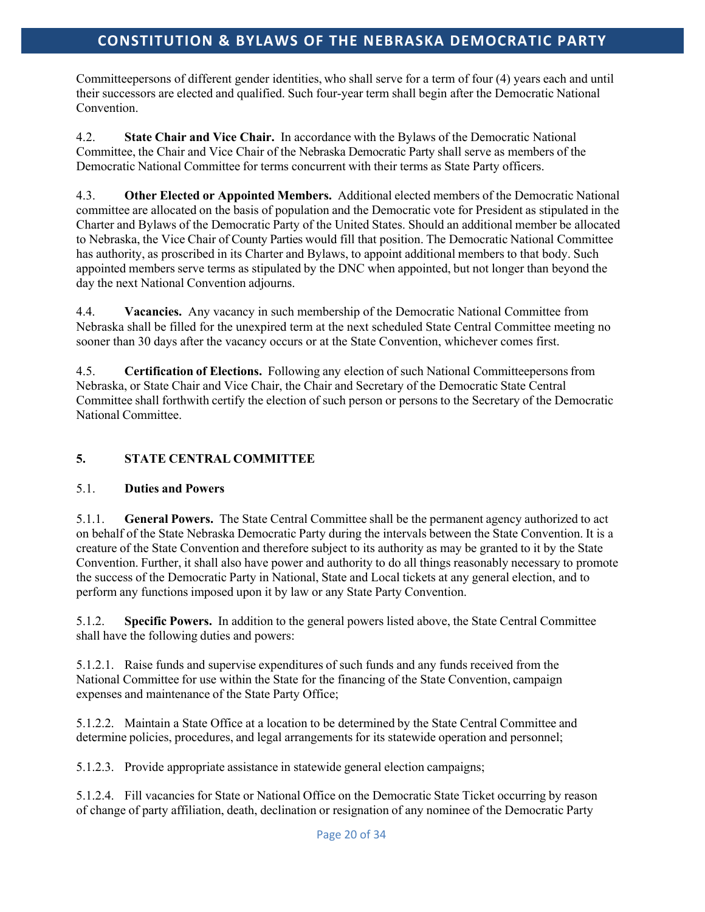Committeepersons of different gender identities, who shall serve for a term of four (4) years each and until their successors are elected and qualified. Such four-year term shall begin after the Democratic National Convention.

4.2. **State Chair and Vice Chair.** In accordance with the Bylaws of the Democratic National Committee, the Chair and Vice Chair of the Nebraska Democratic Party shall serve as members of the Democratic National Committee for terms concurrent with their terms as State Party officers.

4.3. **Other Elected or Appointed Members.** Additional elected members of the Democratic National committee are allocated on the basis of population and the Democratic vote for President as stipulated in the Charter and Bylaws of the Democratic Party of the United States. Should an additional member be allocated to Nebraska, the Vice Chair of County Parties would fill that position. The Democratic National Committee has authority, as proscribed in its Charter and Bylaws, to appoint additional members to that body. Such appointed members serve terms as stipulated by the DNC when appointed, but not longer than beyond the day the next National Convention adjourns.

4.4. **Vacancies.** Any vacancy in such membership of the Democratic National Committee from Nebraska shall be filled for the unexpired term at the next scheduled State Central Committee meeting no sooner than 30 days after the vacancy occurs or at the State Convention, whichever comes first.

4.5. **Certification of Elections.** Following any election of such National Committeepersonsfrom Nebraska, or State Chair and Vice Chair, the Chair and Secretary of the Democratic State Central Committee shall forthwith certify the election of such person or persons to the Secretary of the Democratic National Committee.

## **5. STATE CENTRAL COMMITTEE**

## 5.1. **Duties and Powers**

5.1.1. **General Powers.** The State Central Committee shall be the permanent agency authorized to act on behalf of the State Nebraska Democratic Party during the intervals between the State Convention. It is a creature of the State Convention and therefore subject to its authority as may be granted to it by the State Convention. Further, it shall also have power and authority to do all things reasonably necessary to promote the success of the Democratic Party in National, State and Local tickets at any general election, and to perform any functions imposed upon it by law or any State Party Convention.

5.1.2. **Specific Powers.** In addition to the general powers listed above, the State Central Committee shall have the following duties and powers:

5.1.2.1. Raise funds and supervise expenditures of such funds and any funds received from the National Committee for use within the State for the financing of the State Convention, campaign expenses and maintenance of the State Party Office;

5.1.2.2. Maintain a State Office at a location to be determined by the State Central Committee and determine policies, procedures, and legal arrangements for its statewide operation and personnel;

5.1.2.3. Provide appropriate assistance in statewide general election campaigns;

5.1.2.4. Fill vacancies for State or National Office on the Democratic State Ticket occurring by reason of change of party affiliation, death, declination or resignation of any nominee of the Democratic Party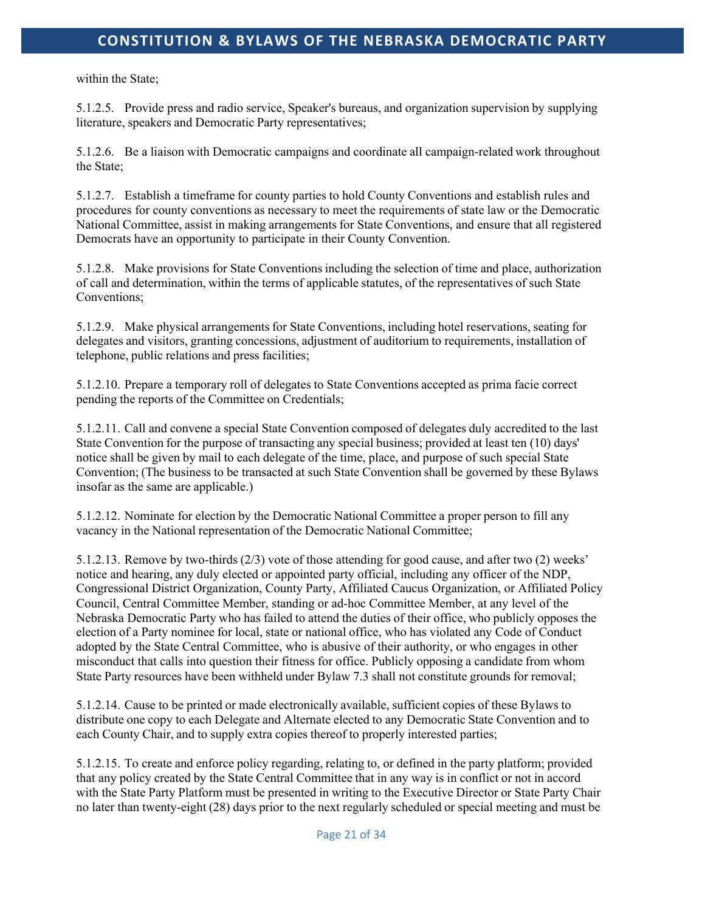within the State;

5.1.2.5. Provide press and radio service, Speaker's bureaus, and organization supervision by supplying literature, speakers and Democratic Party representatives;

5.1.2.6. Be a liaison with Democratic campaigns and coordinate all campaign-related work throughout the State;

5.1.2.7. Establish a timeframe for county parties to hold County Conventions and establish rules and procedures for county conventions as necessary to meet the requirements of state law or the Democratic National Committee, assist in making arrangements for State Conventions, and ensure that all registered Democrats have an opportunity to participate in their County Convention.

5.1.2.8. Make provisions for State Conventions including the selection of time and place, authorization of call and determination, within the terms of applicable statutes, of the representatives of such State Conventions;

5.1.2.9. Make physical arrangements for State Conventions, including hotel reservations, seating for delegates and visitors, granting concessions, adjustment of auditorium to requirements, installation of telephone, public relations and press facilities;

5.1.2.10. Prepare a temporary roll of delegates to State Conventions accepted as prima facie correct pending the reports of the Committee on Credentials;

5.1.2.11. Call and convene a special State Convention composed of delegates duly accredited to the last State Convention for the purpose of transacting any special business; provided at least ten (10) days' notice shall be given by mail to each delegate of the time, place, and purpose of such special State Convention; (The business to be transacted at such State Convention shall be governed by these Bylaws insofar as the same are applicable.)

5.1.2.12. Nominate for election by the Democratic National Committee a proper person to fill any vacancy in the National representation of the Democratic National Committee;

5.1.2.13. Remove by two-thirds (2/3) vote of those attending for good cause, and after two (2) weeks' notice and hearing, any duly elected or appointed party official, including any officer of the NDP, Congressional District Organization, County Party, Affiliated Caucus Organization, or Affiliated Policy Council, Central Committee Member, standing or ad-hoc Committee Member, at any level of the Nebraska Democratic Party who has failed to attend the duties of their office, who publicly opposes the election of a Party nominee for local, state or national office, who has violated any Code of Conduct adopted by the State Central Committee, who is abusive of their authority, or who engages in other misconduct that calls into question their fitness for office. Publicly opposing a candidate from whom State Party resources have been withheld under Bylaw 7.3 shall not constitute grounds for removal;

5.1.2.14. Cause to be printed or made electronically available, sufficient copies of these Bylaws to distribute one copy to each Delegate and Alternate elected to any Democratic State Convention and to each County Chair, and to supply extra copies thereof to properly interested parties;

5.1.2.15. To create and enforce policy regarding, relating to, or defined in the party platform; provided that any policy created by the State Central Committee that in any way is in conflict or not in accord with the State Party Platform must be presented in writing to the Executive Director or State Party Chair no later than twenty-eight (28) days prior to the next regularly scheduled or special meeting and must be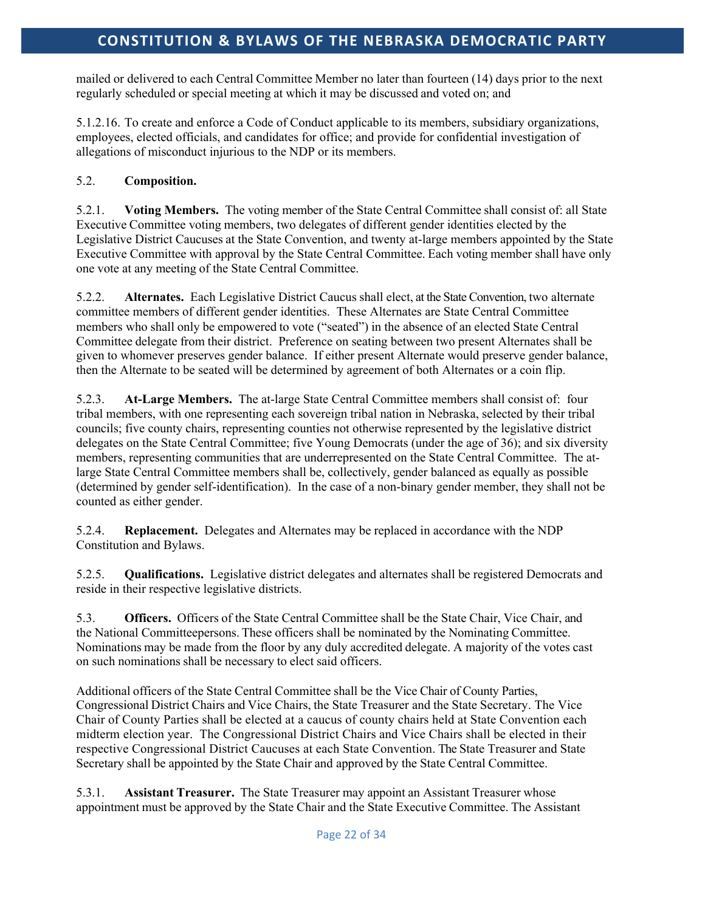mailed or delivered to each Central Committee Member no later than fourteen (14) days prior to the next regularly scheduled or special meeting at which it may be discussed and voted on; and

5.1.2.16. To create and enforce a Code of Conduct applicable to its members, subsidiary organizations, employees, elected officials, and candidates for office; and provide for confidential investigation of allegations of misconduct injurious to the NDP or its members.

## 5.2. **Composition.**

5.2.1. **Voting Members.** The voting member of the State Central Committee shall consist of: all State Executive Committee voting members, two delegates of different gender identities elected by the Legislative District Caucuses at the State Convention, and twenty at-large members appointed by the State Executive Committee with approval by the State Central Committee. Each voting member shall have only one vote at any meeting of the State Central Committee.

5.2.2. **Alternates.** Each Legislative District Caucus shall elect, at the State Convention, two alternate committee members of different gender identities. These Alternates are State Central Committee members who shall only be empowered to vote ("seated") in the absence of an elected State Central Committee delegate from their district. Preference on seating between two present Alternates shall be given to whomever preserves gender balance. If either present Alternate would preserve gender balance, then the Alternate to be seated will be determined by agreement of both Alternates or a coin flip.

5.2.3. **At-Large Members.** The at-large State Central Committee members shall consist of: four tribal members, with one representing each sovereign tribal nation in Nebraska, selected by their tribal councils; five county chairs, representing counties not otherwise represented by the legislative district delegates on the State Central Committee; five Young Democrats (under the age of 36); and six diversity members, representing communities that are underrepresented on the State Central Committee. The atlarge State Central Committee members shall be, collectively, gender balanced as equally as possible (determined by gender self-identification). In the case of a non-binary gender member, they shall not be counted as either gender.

5.2.4. **Replacement.** Delegates and Alternates may be replaced in accordance with the NDP Constitution and Bylaws.

5.2.5. **Qualifications.** Legislative district delegates and alternates shall be registered Democrats and reside in their respective legislative districts.

5.3. **Officers.** Officers of the State Central Committee shall be the State Chair, Vice Chair, and the National Committeepersons. These officers shall be nominated by the Nominating Committee. Nominations may be made from the floor by any duly accredited delegate. A majority of the votes cast on such nominations shall be necessary to elect said officers.

Additional officers of the State Central Committee shall be the Vice Chair of County Parties, Congressional District Chairs and Vice Chairs, the State Treasurer and the State Secretary. The Vice Chair of County Parties shall be elected at a caucus of county chairs held at State Convention each midterm election year. The Congressional District Chairs and Vice Chairs shall be elected in their respective Congressional District Caucuses at each State Convention. The State Treasurer and State Secretary shall be appointed by the State Chair and approved by the State Central Committee.

5.3.1. **Assistant Treasurer.** The State Treasurer may appoint an Assistant Treasurer whose appointment must be approved by the State Chair and the State Executive Committee. The Assistant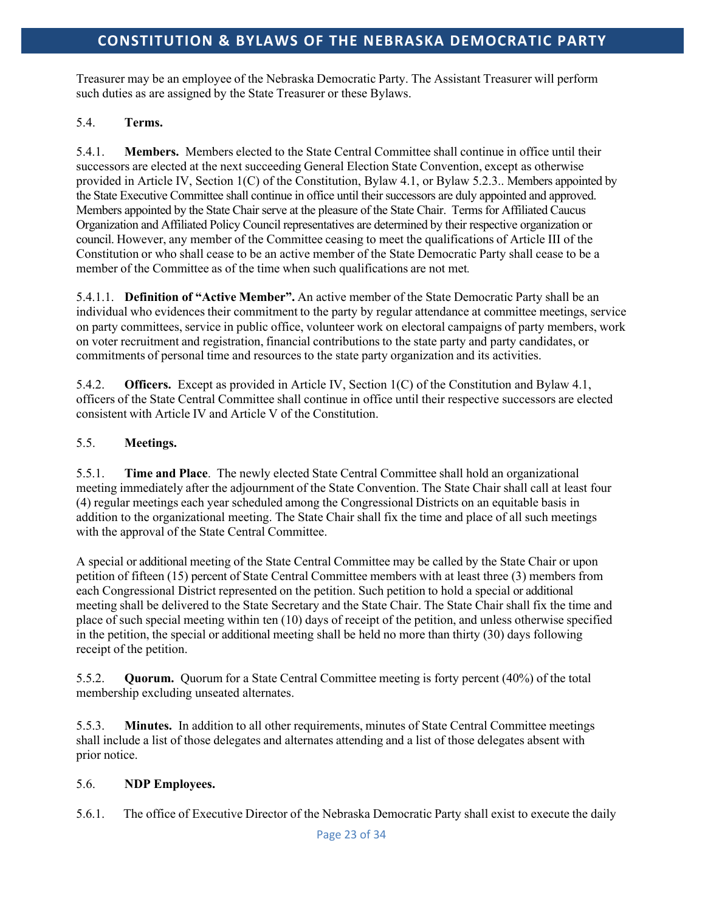Treasurer may be an employee of the Nebraska Democratic Party. The Assistant Treasurer will perform such duties as are assigned by the State Treasurer or these Bylaws.

## 5.4. **Terms.**

5.4.1. **Members.** Members elected to the State Central Committee shall continue in office until their successors are elected at the next succeeding General Election State Convention, except as otherwise provided in Article IV, Section 1(C) of the Constitution, Bylaw 4.1, or Bylaw 5.2.3.. Members appointed by the State Executive Committee shall continue in office until their successors are duly appointed and approved. Members appointed by the State Chair serve at the pleasure of the State Chair. Terms for Affiliated Caucus Organization and Affiliated Policy Council representatives are determined by their respective organization or council. However, any member of the Committee ceasing to meet the qualifications of Article III of the Constitution or who shall cease to be an active member of the State Democratic Party shall cease to be a member of the Committee as of the time when such qualifications are not met*.*

5.4.1.1. **Definition of "Active Member".** An active member of the State Democratic Party shall be an individual who evidences their commitment to the party by regular attendance at committee meetings, service on party committees, service in public office, volunteer work on electoral campaigns of party members, work on voter recruitment and registration, financial contributionsto the state party and party candidates, or commitments of personal time and resources to the state party organization and its activities.

5.4.2. **Officers.** Except as provided in Article IV, Section 1(C) of the Constitution and Bylaw 4.1, officers of the State Central Committee shall continue in office until their respective successors are elected consistent with Article IV and Article V of the Constitution.

## 5.5. **Meetings.**

5.5.1. **Time and Place**. The newly elected State Central Committee shall hold an organizational meeting immediately after the adjournment of the State Convention. The State Chair shall call at least four (4) regular meetings each year scheduled among the Congressional Districts on an equitable basis in addition to the organizational meeting. The State Chair shall fix the time and place of all such meetings with the approval of the State Central Committee.

A special or additional meeting of the State Central Committee may be called by the State Chair or upon petition of fifteen (15) percent of State Central Committee members with at least three (3) members from each Congressional District represented on the petition. Such petition to hold a special or additional meeting shall be delivered to the State Secretary and the State Chair. The State Chair shall fix the time and place of such special meeting within ten (10) days of receipt of the petition, and unless otherwise specified in the petition, the special or additional meeting shall be held no more than thirty (30) days following receipt of the petition.

5.5.2. **Quorum.** Quorum for a State Central Committee meeting is forty percent (40%) of the total membership excluding unseated alternates.

5.5.3. **Minutes.** In addition to all other requirements, minutes of State Central Committee meetings shall include a list of those delegates and alternates attending and a list of those delegates absent with prior notice.

## 5.6. **NDP Employees.**

5.6.1. The office of Executive Director of the Nebraska Democratic Party shall exist to execute the daily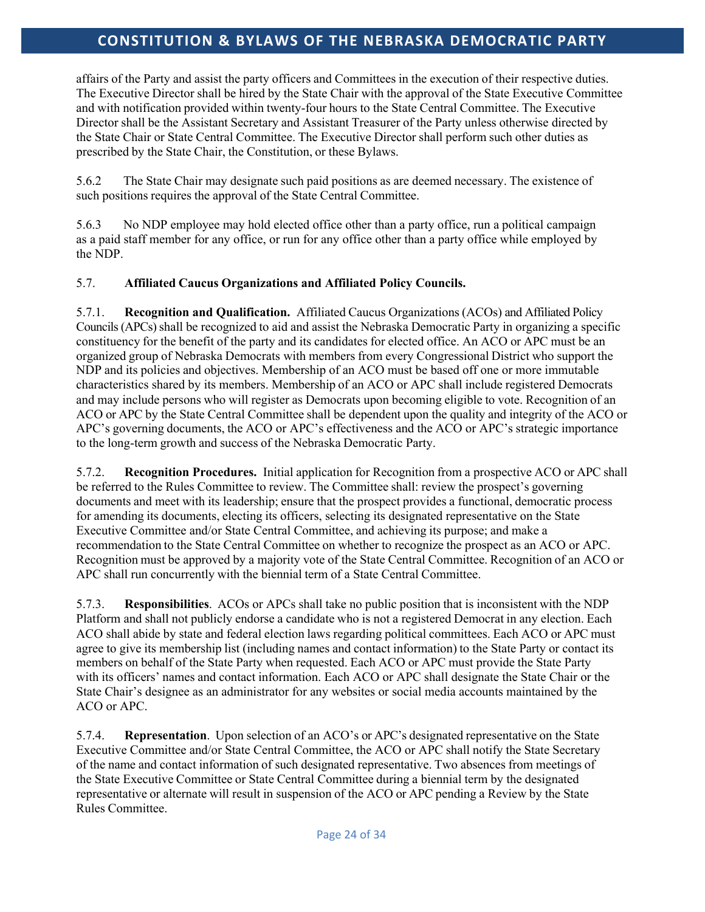affairs of the Party and assist the party officers and Committees in the execution of their respective duties. The Executive Director shall be hired by the State Chair with the approval of the State Executive Committee and with notification provided within twenty-four hours to the State Central Committee. The Executive Director shall be the Assistant Secretary and Assistant Treasurer of the Party unless otherwise directed by the State Chair or State Central Committee. The Executive Director shall perform such other duties as prescribed by the State Chair, the Constitution, or these Bylaws.

5.6.2 The State Chair may designate such paid positions as are deemed necessary. The existence of such positions requires the approval of the State Central Committee.

5.6.3 No NDP employee may hold elected office other than a party office, run a political campaign as a paid staff member for any office, or run for any office other than a party office while employed by the NDP.

## 5.7. **Affiliated Caucus Organizations and Affiliated Policy Councils.**

5.7.1. **Recognition and Qualification.** Affiliated Caucus Organizations(ACOs) and Affiliated Policy Councils (APCs) shall be recognized to aid and assist the Nebraska Democratic Party in organizing a specific constituency for the benefit of the party and its candidates for elected office. An ACO or APC must be an organized group of Nebraska Democrats with members from every Congressional District who support the NDP and its policies and objectives. Membership of an ACO must be based off one or more immutable characteristics shared by its members. Membership of an ACO or APC shall include registered Democrats and may include persons who will register as Democrats upon becoming eligible to vote. Recognition of an ACO or APC by the State Central Committee shall be dependent upon the quality and integrity of the ACO or APC's governing documents, the ACO or APC's effectiveness and the ACO or APC's strategic importance to the long-term growth and success of the Nebraska Democratic Party.

5.7.2. **Recognition Procedures.** Initial application for Recognition from a prospective ACO or APC shall be referred to the Rules Committee to review. The Committee shall: review the prospect's governing documents and meet with its leadership; ensure that the prospect provides a functional, democratic process for amending its documents, electing its officers, selecting its designated representative on the State Executive Committee and/or State Central Committee, and achieving its purpose; and make a recommendation to the State Central Committee on whether to recognize the prospect as an ACO or APC. Recognition must be approved by a majority vote of the State Central Committee. Recognition of an ACO or APC shall run concurrently with the biennial term of a State Central Committee.

5.7.3. **Responsibilities**. ACOs or APCs shall take no public position that is inconsistent with the NDP Platform and shall not publicly endorse a candidate who is not a registered Democrat in any election. Each ACO shall abide by state and federal election laws regarding political committees. Each ACO or APC must agree to give its membership list (including names and contact information) to the State Party or contact its members on behalf of the State Party when requested. Each ACO or APC must provide the State Party with its officers' names and contact information. Each ACO or APC shall designate the State Chair or the State Chair's designee as an administrator for any websites or social media accounts maintained by the ACO or APC.

5.7.4. **Representation**. Upon selection of an ACO's or APC's designated representative on the State Executive Committee and/or State Central Committee, the ACO or APC shall notify the State Secretary of the name and contact information of such designated representative. Two absences from meetings of the State Executive Committee or State Central Committee during a biennial term by the designated representative or alternate will result in suspension of the ACO or APC pending a Review by the State Rules Committee.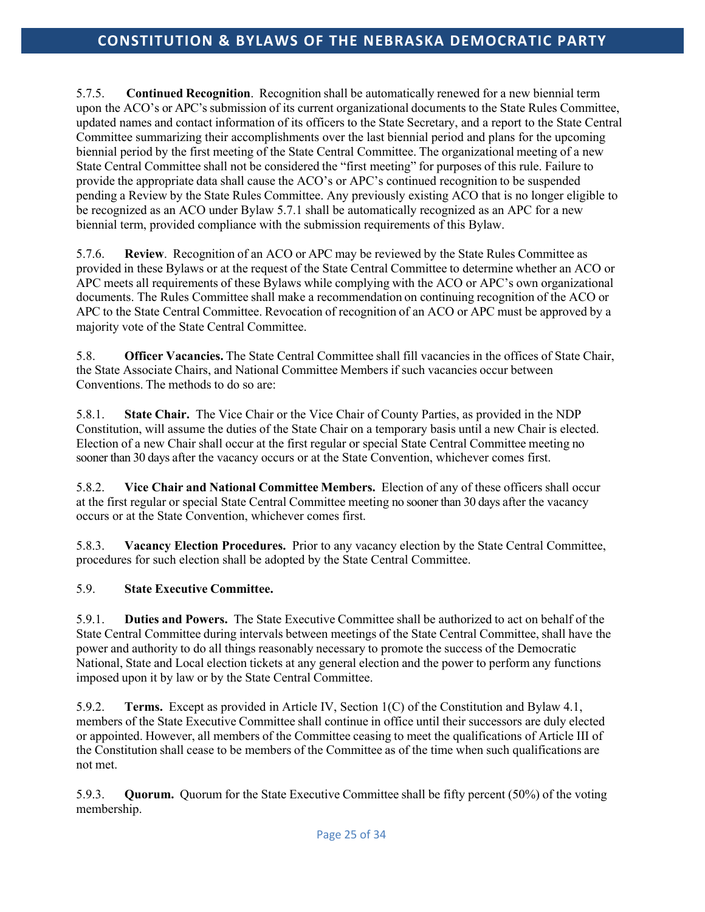5.7.5. **Continued Recognition**. Recognition shall be automatically renewed for a new biennial term upon the ACO's or APC's submission of its current organizational documents to the State Rules Committee, updated names and contact information of its officers to the State Secretary, and a report to the State Central Committee summarizing their accomplishments over the last biennial period and plans for the upcoming biennial period by the first meeting of the State Central Committee. The organizational meeting of a new State Central Committee shall not be considered the "first meeting" for purposes of this rule. Failure to provide the appropriate data shall cause the ACO's or APC's continued recognition to be suspended pending a Review by the State Rules Committee. Any previously existing ACO that is no longer eligible to be recognized as an ACO under Bylaw 5.7.1 shall be automatically recognized as an APC for a new biennial term, provided compliance with the submission requirements of this Bylaw.

5.7.6. **Review**. Recognition of an ACO or APC may be reviewed by the State Rules Committee as provided in these Bylaws or at the request of the State Central Committee to determine whether an ACO or APC meets all requirements of these Bylaws while complying with the ACO or APC's own organizational documents. The Rules Committee shall make a recommendation on continuing recognition of the ACO or APC to the State Central Committee. Revocation of recognition of an ACO or APC must be approved by a majority vote of the State Central Committee.

5.8. **Officer Vacancies.** The State Central Committee shall fill vacancies in the offices of State Chair, the State Associate Chairs, and National Committee Members if such vacancies occur between Conventions. The methods to do so are:

5.8.1. **State Chair.** The Vice Chair or the Vice Chair of County Parties, as provided in the NDP Constitution, will assume the duties of the State Chair on a temporary basis until a new Chair is elected. Election of a new Chair shall occur at the first regular or special State Central Committee meeting no sooner than 30 days after the vacancy occurs or at the State Convention, whichever comes first.

5.8.2. **Vice Chair and National Committee Members.** Election of any of these officers shall occur at the first regular or special State Central Committee meeting no sooner than 30 days after the vacancy occurs or at the State Convention, whichever comes first.

5.8.3. **Vacancy Election Procedures.** Prior to any vacancy election by the State Central Committee, procedures for such election shall be adopted by the State Central Committee.

## 5.9. **State Executive Committee.**

5.9.1. **Duties and Powers.** The State Executive Committee shall be authorized to act on behalf of the State Central Committee during intervals between meetings of the State Central Committee, shall have the power and authority to do all things reasonably necessary to promote the success of the Democratic National, State and Local election tickets at any general election and the power to perform any functions imposed upon it by law or by the State Central Committee.

5.9.2. **Terms.** Except as provided in Article IV, Section 1(C) of the Constitution and Bylaw 4.1, members of the State Executive Committee shall continue in office until their successors are duly elected or appointed. However, all members of the Committee ceasing to meet the qualifications of Article III of the Constitution shall cease to be members of the Committee as of the time when such qualifications are not met.

5.9.3. **Quorum.** Quorum for the State Executive Committee shall be fifty percent (50%) of the voting membership.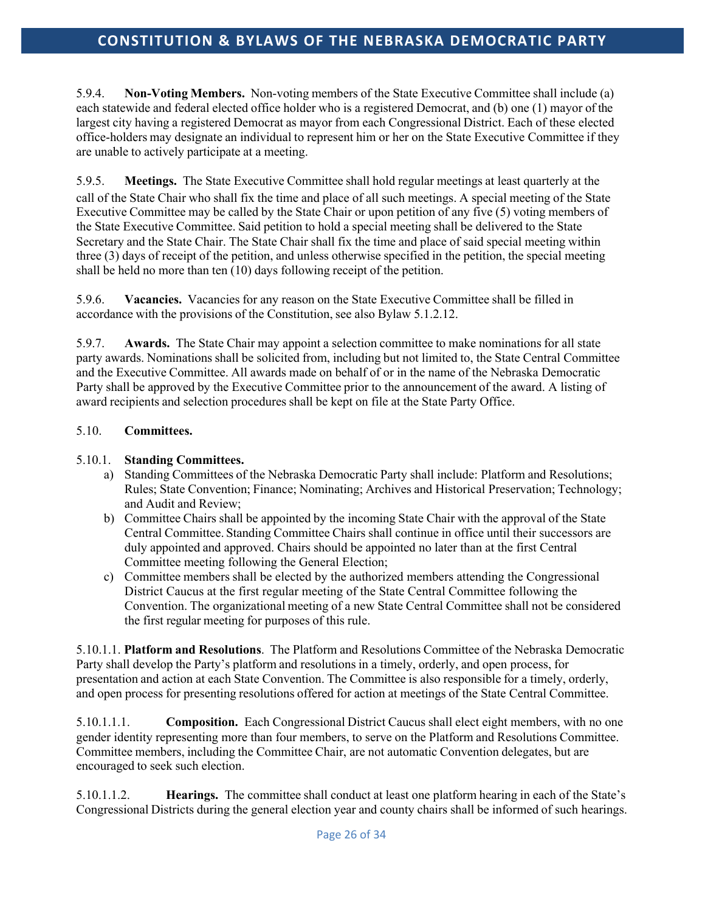5.9.4. **Non-Voting Members.** Non-voting members of the State Executive Committee shall include (a) each statewide and federal elected office holder who is a registered Democrat, and (b) one (1) mayor of the largest city having a registered Democrat as mayor from each Congressional District. Each of these elected office-holders may designate an individual to represent him or her on the State Executive Committee if they are unable to actively participate at a meeting.

5.9.5. **Meetings.** The State Executive Committee shall hold regular meetings at least quarterly at the call of the State Chair who shall fix the time and place of all such meetings. A special meeting of the State Executive Committee may be called by the State Chair or upon petition of any five (5) voting members of the State Executive Committee. Said petition to hold a special meeting shall be delivered to the State Secretary and the State Chair. The State Chair shall fix the time and place of said special meeting within three (3) days of receipt of the petition, and unless otherwise specified in the petition, the special meeting shall be held no more than ten (10) days following receipt of the petition.

5.9.6. **Vacancies.** Vacancies for any reason on the State Executive Committee shall be filled in accordance with the provisions of the Constitution, see also Bylaw 5.1.2.12.

5.9.7. **Awards.** The State Chair may appoint a selection committee to make nominations for all state party awards. Nominations shall be solicited from, including but not limited to, the State Central Committee and the Executive Committee. All awards made on behalf of or in the name of the Nebraska Democratic Party shall be approved by the Executive Committee prior to the announcement of the award. A listing of award recipients and selection procedures shall be kept on file at the State Party Office.

## 5.10. **Committees.**

#### 5.10.1. **Standing Committees.**

- a) Standing Committees of the Nebraska Democratic Party shall include: Platform and Resolutions; Rules; State Convention; Finance; Nominating; Archives and Historical Preservation; Technology; and Audit and Review;
- b) Committee Chairs shall be appointed by the incoming State Chair with the approval of the State Central Committee. Standing Committee Chairs shall continue in office until their successors are duly appointed and approved. Chairs should be appointed no later than at the first Central Committee meeting following the General Election;
- c) Committee members shall be elected by the authorized members attending the Congressional District Caucus at the first regular meeting of the State Central Committee following the Convention. The organizational meeting of a new State Central Committee shall not be considered the first regular meeting for purposes of this rule.

5.10.1.1. **Platform and Resolutions**. The Platform and Resolutions Committee of the Nebraska Democratic Party shall develop the Party's platform and resolutions in a timely, orderly, and open process, for presentation and action at each State Convention. The Committee is also responsible for a timely, orderly, and open process for presenting resolutions offered for action at meetings of the State Central Committee.

5.10.1.1.1. **Composition.** Each Congressional District Caucus shall elect eight members, with no one gender identity representing more than four members, to serve on the Platform and Resolutions Committee. Committee members, including the Committee Chair, are not automatic Convention delegates, but are encouraged to seek such election.

5.10.1.1.2. **Hearings.** The committee shall conduct at least one platform hearing in each of the State's Congressional Districts during the general election year and county chairs shall be informed of such hearings.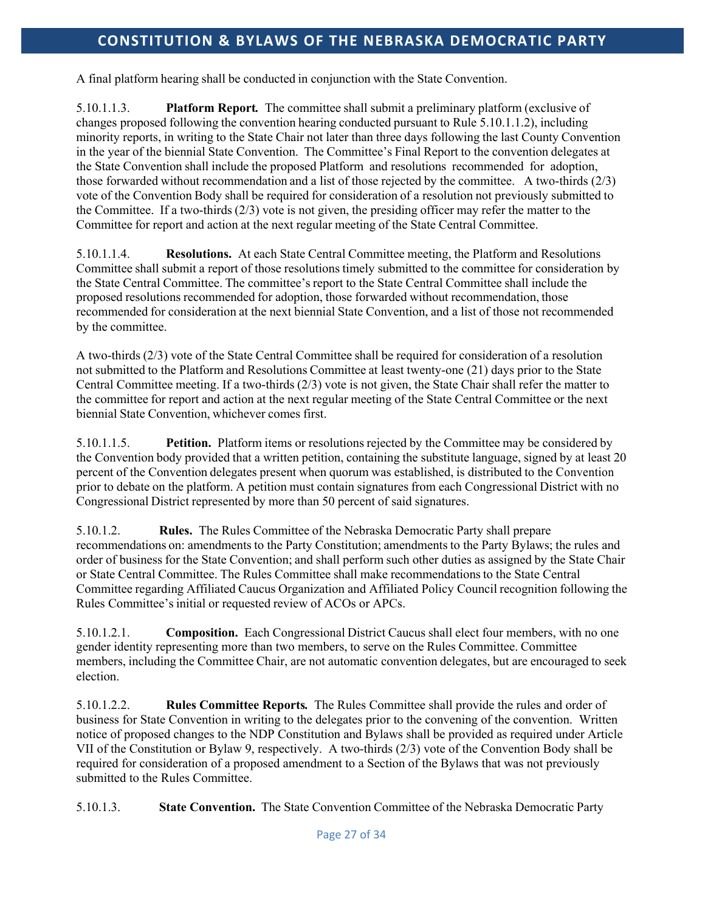A final platform hearing shall be conducted in conjunction with the State Convention.

5.10.1.1.3. **Platform Report***.* The committee shall submit a preliminary platform (exclusive of changes proposed following the convention hearing conducted pursuant to Rule 5.10.1.1.2), including minority reports, in writing to the State Chair not later than three days following the last County Convention in the year of the biennial State Convention. The Committee's Final Report to the convention delegates at the State Convention shall include the proposed Platform and resolutions recommended for adoption, those forwarded without recommendation and a list of those rejected by the committee. A two-thirds (2/3) vote of the Convention Body shall be required for consideration of a resolution not previously submitted to the Committee. If a two-thirds (2/3) vote is not given, the presiding officer may refer the matter to the Committee for report and action at the next regular meeting of the State Central Committee.

5.10.1.1.4. **Resolutions.** At each State Central Committee meeting, the Platform and Resolutions Committee shall submit a report of those resolutions timely submitted to the committee for consideration by the State Central Committee. The committee's report to the State Central Committee shall include the proposed resolutions recommended for adoption, those forwarded without recommendation, those recommended for consideration at the next biennial State Convention, and a list of those not recommended by the committee.

A two-thirds (2/3) vote of the State Central Committee shall be required for consideration of a resolution not submitted to the Platform and Resolutions Committee at least twenty-one (21) days prior to the State Central Committee meeting. If a two-thirds (2/3) vote is not given, the State Chair shall refer the matter to the committee for report and action at the next regular meeting of the State Central Committee or the next biennial State Convention, whichever comes first.

5.10.1.1.5. **Petition.** Platform items or resolutions rejected by the Committee may be considered by the Convention body provided that a written petition, containing the substitute language, signed by at least 20 percent of the Convention delegates present when quorum was established, is distributed to the Convention prior to debate on the platform. A petition must contain signatures from each Congressional District with no Congressional District represented by more than 50 percent of said signatures.

5.10.1.2. **Rules.** The Rules Committee of the Nebraska Democratic Party shall prepare recommendations on: amendments to the Party Constitution; amendments to the Party Bylaws; the rules and order of business for the State Convention; and shall perform such other duties as assigned by the State Chair or State Central Committee. The Rules Committee shall make recommendationsto the State Central Committee regarding Affiliated Caucus Organization and Affiliated Policy Council recognition following the Rules Committee's initial or requested review of ACOs or APCs.

5.10.1.2.1. **Composition.** Each Congressional District Caucus shall elect four members, with no one gender identity representing more than two members, to serve on the Rules Committee. Committee members, including the Committee Chair, are not automatic convention delegates, but are encouraged to seek election.

5.10.1.2.2. **Rules Committee Reports***.* The Rules Committee shall provide the rules and order of business for State Convention in writing to the delegates prior to the convening of the convention. Written notice of proposed changes to the NDP Constitution and Bylaws shall be provided as required under Article VII of the Constitution or Bylaw 9, respectively. A two-thirds (2/3) vote of the Convention Body shall be required for consideration of a proposed amendment to a Section of the Bylaws that was not previously submitted to the Rules Committee.

5.10.1.3. **State Convention.** The State Convention Committee of the Nebraska Democratic Party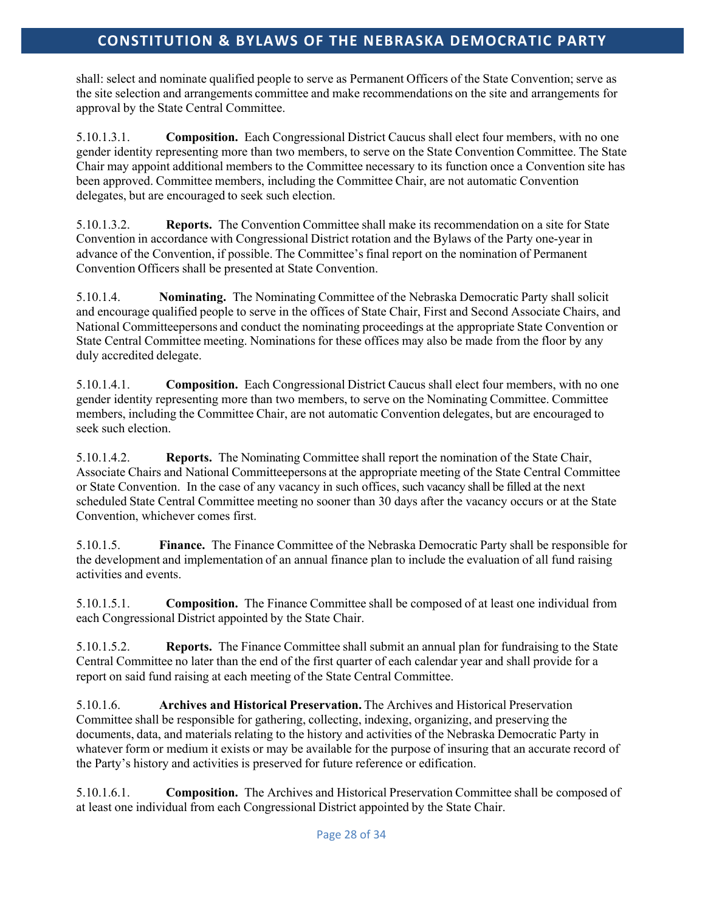shall: select and nominate qualified people to serve as Permanent Officers of the State Convention; serve as the site selection and arrangements committee and make recommendations on the site and arrangements for approval by the State Central Committee.

5.10.1.3.1. **Composition.** Each Congressional District Caucus shall elect four members, with no one gender identity representing more than two members, to serve on the State Convention Committee. The State Chair may appoint additional members to the Committee necessary to its function once a Convention site has been approved. Committee members, including the Committee Chair, are not automatic Convention delegates, but are encouraged to seek such election.

5.10.1.3.2. **Reports.** The Convention Committee shall make its recommendation on a site for State Convention in accordance with Congressional District rotation and the Bylaws of the Party one-year in advance of the Convention, if possible. The Committee's final report on the nomination of Permanent Convention Officers shall be presented at State Convention.

5.10.1.4. **Nominating.** The Nominating Committee of the Nebraska Democratic Party shall solicit and encourage qualified people to serve in the offices of State Chair, First and Second Associate Chairs, and National Committeepersons and conduct the nominating proceedings at the appropriate State Convention or State Central Committee meeting. Nominations for these offices may also be made from the floor by any duly accredited delegate.

5.10.1.4.1. **Composition.** Each Congressional District Caucus shall elect four members, with no one gender identity representing more than two members, to serve on the Nominating Committee. Committee members, including the Committee Chair, are not automatic Convention delegates, but are encouraged to seek such election.

5.10.1.4.2. **Reports.** The Nominating Committee shall report the nomination of the State Chair, Associate Chairs and National Committeepersons at the appropriate meeting of the State Central Committee or State Convention. In the case of any vacancy in such offices, such vacancy shall be filled at the next scheduled State Central Committee meeting no sooner than 30 days after the vacancy occurs or at the State Convention, whichever comes first.

5.10.1.5. **Finance.** The Finance Committee of the Nebraska Democratic Party shall be responsible for the development and implementation of an annual finance plan to include the evaluation of all fund raising activities and events.

5.10.1.5.1. **Composition.** The Finance Committee shall be composed of at least one individual from each Congressional District appointed by the State Chair.

5.10.1.5.2. **Reports.** The Finance Committee shall submit an annual plan for fundraising to the State Central Committee no later than the end of the first quarter of each calendar year and shall provide for a report on said fund raising at each meeting of the State Central Committee.

5.10.1.6. **Archives and Historical Preservation.** The Archives and Historical Preservation Committee shall be responsible for gathering, collecting, indexing, organizing, and preserving the documents, data, and materials relating to the history and activities of the Nebraska Democratic Party in whatever form or medium it exists or may be available for the purpose of insuring that an accurate record of the Party's history and activities is preserved for future reference or edification.

5.10.1.6.1. **Composition.** The Archives and Historical Preservation Committee shall be composed of at least one individual from each Congressional District appointed by the State Chair.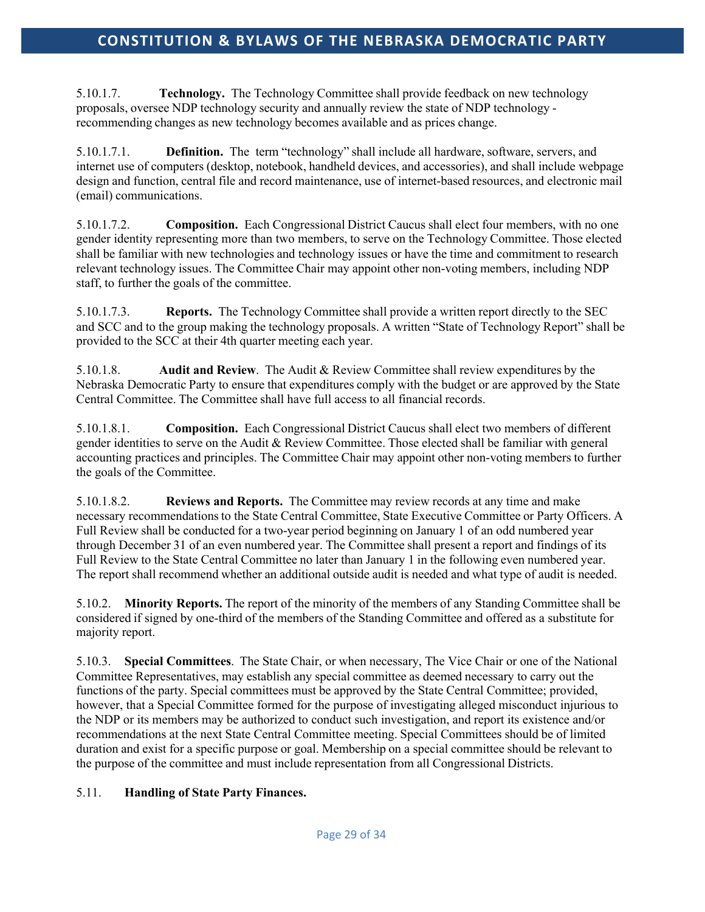5.10.1.7. **Technology.** The Technology Committee shall provide feedback on new technology proposals, oversee NDP technology security and annually review the state of NDP technology recommending changes as new technology becomes available and as prices change.

5.10.1.7.1. **Definition.** The term "technology" shall include all hardware, software, servers, and internet use of computers (desktop, notebook, handheld devices, and accessories), and shall include webpage design and function, central file and record maintenance, use of internet-based resources, and electronic mail (email) communications.

5.10.1.7.2. **Composition.** Each Congressional District Caucus shall elect four members, with no one gender identity representing more than two members, to serve on the Technology Committee. Those elected shall be familiar with new technologies and technology issues or have the time and commitment to research relevant technology issues. The Committee Chair may appoint other non-voting members, including NDP staff, to further the goals of the committee.

5.10.1.7.3. **Reports.** The Technology Committee shall provide a written report directly to the SEC and SCC and to the group making the technology proposals. A written "State of Technology Report" shall be provided to the SCC at their 4th quarter meeting each year.

5.10.1.8. **Audit and Review**. The Audit & Review Committee shall review expenditures by the Nebraska Democratic Party to ensure that expenditures comply with the budget or are approved by the State Central Committee. The Committee shall have full access to all financial records.

5.10.1.8.1. **Composition.** Each Congressional District Caucus shall elect two members of different gender identities to serve on the Audit & Review Committee. Those elected shall be familiar with general accounting practices and principles. The Committee Chair may appoint other non-voting members to further the goals of the Committee.

5.10.1.8.2. **Reviews and Reports.** The Committee may review records at any time and make necessary recommendations to the State Central Committee, State Executive Committee or Party Officers. A Full Review shall be conducted for a two-year period beginning on January 1 of an odd numbered year through December 31 of an even numbered year. The Committee shall present a report and findings of its Full Review to the State Central Committee no later than January 1 in the following even numbered year. The report shall recommend whether an additional outside audit is needed and what type of audit is needed.

5.10.2. **Minority Reports.** The report of the minority of the members of any Standing Committee shall be considered if signed by one-third of the members of the Standing Committee and offered as a substitute for majority report.

5.10.3. **Special Committees**. The State Chair, or when necessary, The Vice Chair or one of the National Committee Representatives, may establish any special committee as deemed necessary to carry out the functions of the party. Special committees must be approved by the State Central Committee; provided, however, that a Special Committee formed for the purpose of investigating alleged misconduct injurious to the NDP or its members may be authorized to conduct such investigation, and report its existence and/or recommendations at the next State Central Committee meeting. Special Committees should be of limited duration and exist for a specific purpose or goal. Membership on a special committee should be relevant to the purpose of the committee and must include representation from all Congressional Districts.

## 5.11. **Handling of State Party Finances.**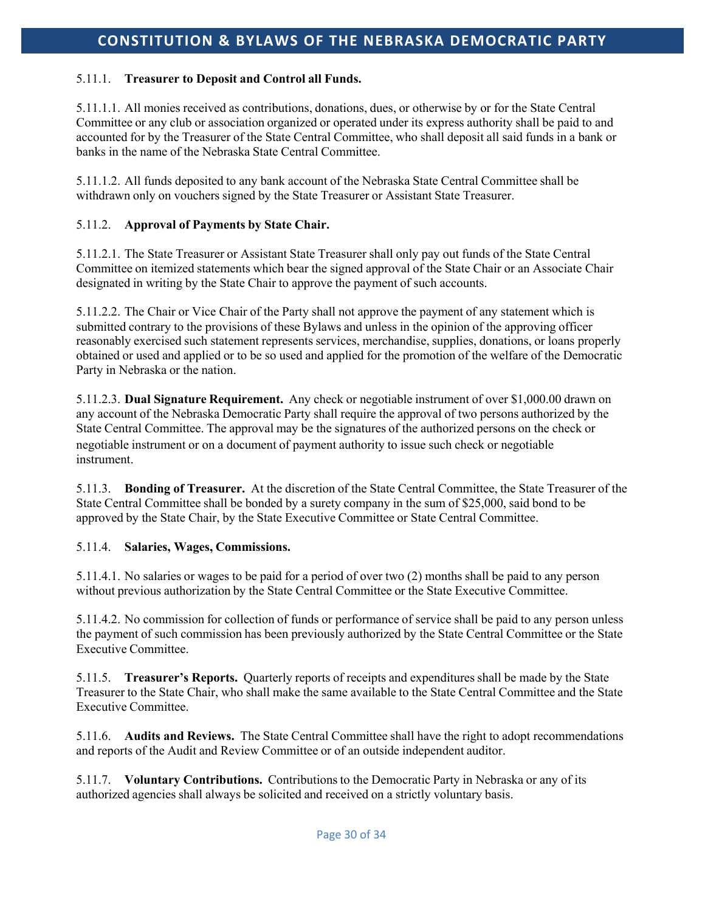#### 5.11.1. **Treasurer to Deposit and Control all Funds.**

5.11.1.1. All monies received as contributions, donations, dues, or otherwise by or for the State Central Committee or any club or association organized or operated under its express authority shall be paid to and accounted for by the Treasurer of the State Central Committee, who shall deposit all said funds in a bank or banks in the name of the Nebraska State Central Committee.

5.11.1.2. All funds deposited to any bank account of the Nebraska State Central Committee shall be withdrawn only on vouchers signed by the State Treasurer or Assistant State Treasurer.

#### 5.11.2. **Approval of Payments by State Chair.**

5.11.2.1. The State Treasurer or Assistant State Treasurer shall only pay out funds of the State Central Committee on itemized statements which bear the signed approval of the State Chair or an Associate Chair designated in writing by the State Chair to approve the payment of such accounts.

5.11.2.2. The Chair or Vice Chair of the Party shall not approve the payment of any statement which is submitted contrary to the provisions of these Bylaws and unless in the opinion of the approving officer reasonably exercised such statement represents services, merchandise, supplies, donations, or loans properly obtained or used and applied or to be so used and applied for the promotion of the welfare of the Democratic Party in Nebraska or the nation.

5.11.2.3. **Dual Signature Requirement.** Any check or negotiable instrument of over \$1,000.00 drawn on any account of the Nebraska Democratic Party shall require the approval of two persons authorized by the State Central Committee. The approval may be the signatures of the authorized persons on the check or negotiable instrument or on a document of payment authority to issue such check or negotiable instrument.

5.11.3. **Bonding of Treasurer.** At the discretion of the State Central Committee, the State Treasurer of the State Central Committee shall be bonded by a surety company in the sum of \$25,000, said bond to be approved by the State Chair, by the State Executive Committee or State Central Committee.

#### 5.11.4. **Salaries, Wages, Commissions.**

5.11.4.1. No salaries or wages to be paid for a period of over two (2) months shall be paid to any person without previous authorization by the State Central Committee or the State Executive Committee.

5.11.4.2. No commission for collection of funds or performance of service shall be paid to any person unless the payment of such commission has been previously authorized by the State Central Committee or the State Executive Committee.

5.11.5. **Treasurer's Reports.** Quarterly reports of receipts and expenditures shall be made by the State Treasurer to the State Chair, who shall make the same available to the State Central Committee and the State Executive Committee.

5.11.6. **Audits and Reviews.** The State Central Committee shall have the right to adopt recommendations and reports of the Audit and Review Committee or of an outside independent auditor.

5.11.7. **Voluntary Contributions.** Contributionsto the Democratic Party in Nebraska or any of its authorized agencies shall always be solicited and received on a strictly voluntary basis.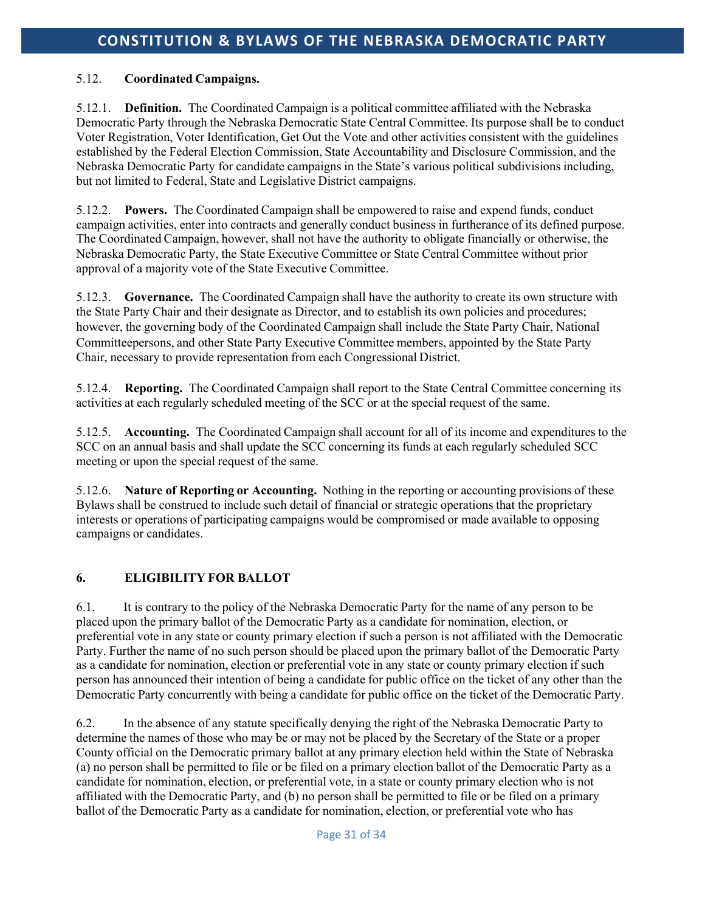## 5.12. **Coordinated Campaigns.**

5.12.1. **Definition.** The Coordinated Campaign is a political committee affiliated with the Nebraska Democratic Party through the Nebraska Democratic State Central Committee. Its purpose shall be to conduct Voter Registration, Voter Identification, Get Out the Vote and other activities consistent with the guidelines established by the Federal Election Commission, State Accountability and Disclosure Commission, and the Nebraska Democratic Party for candidate campaigns in the State's various political subdivisions including, but not limited to Federal, State and Legislative District campaigns.

5.12.2. **Powers.** The Coordinated Campaign shall be empowered to raise and expend funds, conduct campaign activities, enter into contracts and generally conduct business in furtherance of its defined purpose. The Coordinated Campaign, however, shall not have the authority to obligate financially or otherwise, the Nebraska Democratic Party, the State Executive Committee or State Central Committee without prior approval of a majority vote of the State Executive Committee.

5.12.3. **Governance.** The Coordinated Campaign shall have the authority to create its own structure with the State Party Chair and their designate as Director, and to establish its own policies and procedures; however, the governing body of the Coordinated Campaign shall include the State Party Chair, National Committeepersons, and other State Party Executive Committee members, appointed by the State Party Chair, necessary to provide representation from each Congressional District.

5.12.4. **Reporting.** The Coordinated Campaign shall report to the State Central Committee concerning its activities at each regularly scheduled meeting of the SCC or at the special request of the same.

5.12.5. **Accounting.** The Coordinated Campaign shall account for all of its income and expenditures to the SCC on an annual basis and shall update the SCC concerning its funds at each regularly scheduled SCC meeting or upon the special request of the same.

5.12.6. **Nature of Reporting or Accounting.** Nothing in the reporting or accounting provisions of these Bylaws shall be construed to include such detail of financial or strategic operations that the proprietary interests or operations of participating campaigns would be compromised or made available to opposing campaigns or candidates.

## **6. ELIGIBILITY FOR BALLOT**

6.1. It is contrary to the policy of the Nebraska Democratic Party for the name of any person to be placed upon the primary ballot of the Democratic Party as a candidate for nomination, election, or preferential vote in any state or county primary election if such a person is not affiliated with the Democratic Party. Further the name of no such person should be placed upon the primary ballot of the Democratic Party as a candidate for nomination, election or preferential vote in any state or county primary election if such person has announced their intention of being a candidate for public office on the ticket of any other than the Democratic Party concurrently with being a candidate for public office on the ticket of the Democratic Party.

6.2. In the absence of any statute specifically denying the right of the Nebraska Democratic Party to determine the names of those who may be or may not be placed by the Secretary of the State or a proper County official on the Democratic primary ballot at any primary election held within the State of Nebraska (a) no person shall be permitted to file or be filed on a primary election ballot of the Democratic Party as a candidate for nomination, election, or preferential vote, in a state or county primary election who is not affiliated with the Democratic Party, and (b) no person shall be permitted to file or be filed on a primary ballot of the Democratic Party as a candidate for nomination, election, or preferential vote who has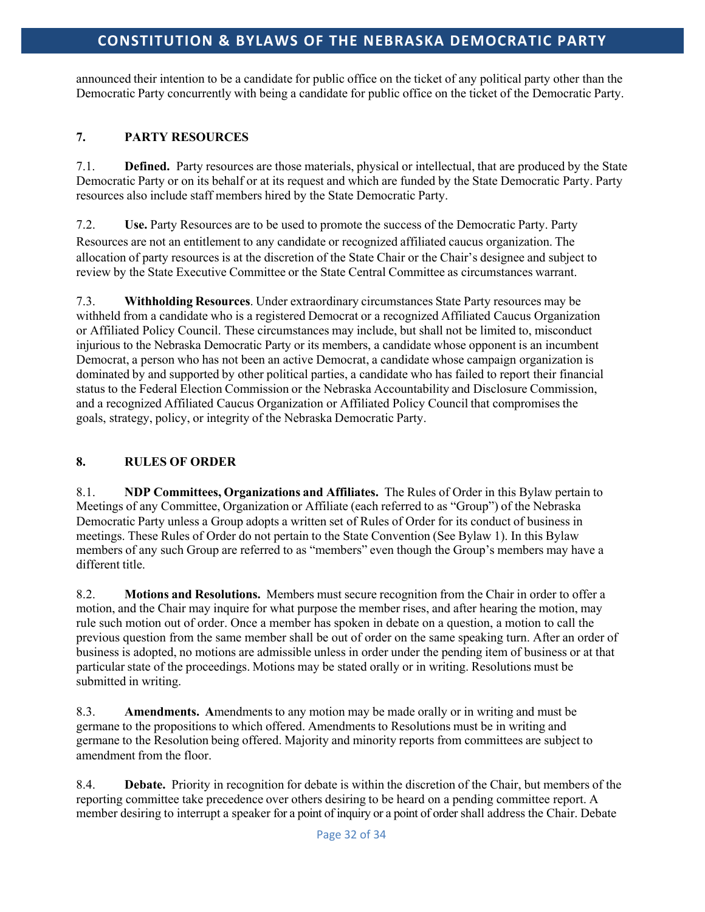announced their intention to be a candidate for public office on the ticket of any political party other than the Democratic Party concurrently with being a candidate for public office on the ticket of the Democratic Party.

## **7. PARTY RESOURCES**

7.1. **Defined.** Party resources are those materials, physical or intellectual, that are produced by the State Democratic Party or on its behalf or at its request and which are funded by the State Democratic Party. Party resources also include staff members hired by the State Democratic Party.

7.2. **Use.** Party Resources are to be used to promote the success of the Democratic Party. Party Resources are not an entitlement to any candidate or recognized affiliated caucus organization. The allocation of party resources is at the discretion of the State Chair or the Chair's designee and subject to review by the State Executive Committee or the State Central Committee as circumstances warrant.

7.3. **Withholding Resources**. Under extraordinary circumstances State Party resources may be withheld from a candidate who is a registered Democrat or a recognized Affiliated Caucus Organization or Affiliated Policy Council. These circumstances may include, but shall not be limited to, misconduct injurious to the Nebraska Democratic Party or its members, a candidate whose opponent is an incumbent Democrat, a person who has not been an active Democrat, a candidate whose campaign organization is dominated by and supported by other political parties, a candidate who has failed to report their financial status to the Federal Election Commission or the Nebraska Accountability and Disclosure Commission, and a recognized Affiliated Caucus Organization or Affiliated Policy Council that compromisesthe goals, strategy, policy, or integrity of the Nebraska Democratic Party.

## **8. RULES OF ORDER**

8.1. **NDP Committees, Organizations and Affiliates.** The Rules of Order in this Bylaw pertain to Meetings of any Committee, Organization or Affiliate (each referred to as "Group") of the Nebraska Democratic Party unless a Group adopts a written set of Rules of Order for its conduct of business in meetings. These Rules of Order do not pertain to the State Convention (See Bylaw 1). In this Bylaw members of any such Group are referred to as "members" even though the Group's members may have a different title.

8.2. **Motions and Resolutions.** Members must secure recognition from the Chair in order to offer a motion, and the Chair may inquire for what purpose the member rises, and after hearing the motion, may rule such motion out of order. Once a member has spoken in debate on a question, a motion to call the previous question from the same member shall be out of order on the same speaking turn. After an order of business is adopted, no motions are admissible unless in order under the pending item of business or at that particular state of the proceedings. Motions may be stated orally or in writing. Resolutions must be submitted in writing.

8.3. **Amendments. A**mendmentsto any motion may be made orally or in writing and must be germane to the propositions to which offered. Amendmentsto Resolutions must be in writing and germane to the Resolution being offered. Majority and minority reports from committees are subject to amendment from the floor.

8.4. **Debate.** Priority in recognition for debate is within the discretion of the Chair, but members of the reporting committee take precedence over others desiring to be heard on a pending committee report. A member desiring to interrupt a speaker for a point of inquiry or a point of order shall address the Chair. Debate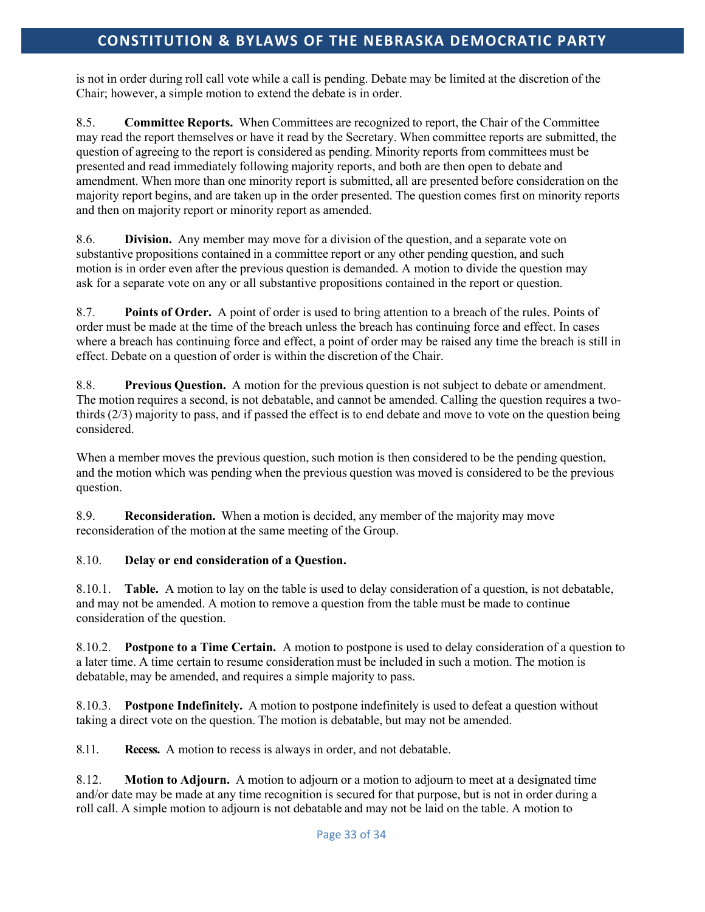is not in order during roll call vote while a call is pending. Debate may be limited at the discretion of the Chair; however, a simple motion to extend the debate is in order.

8.5. **Committee Reports.** When Committees are recognized to report, the Chair of the Committee may read the report themselves or have it read by the Secretary. When committee reports are submitted, the question of agreeing to the report is considered as pending. Minority reports from committees must be presented and read immediately following majority reports, and both are then open to debate and amendment. When more than one minority report is submitted, all are presented before consideration on the majority report begins, and are taken up in the order presented. The question comes first on minority reports and then on majority report or minority report as amended.

8.6. **Division.** Any member may move for a division of the question, and a separate vote on substantive propositions contained in a committee report or any other pending question, and such motion is in order even after the previous question is demanded. A motion to divide the question may ask for a separate vote on any or all substantive propositions contained in the report or question.

8.7. **Points of Order.** A point of order is used to bring attention to a breach of the rules. Points of order must be made at the time of the breach unless the breach has continuing force and effect. In cases where a breach has continuing force and effect, a point of order may be raised any time the breach is still in effect. Debate on a question of order is within the discretion of the Chair.

8.8. **Previous Question.** A motion for the previous question is not subject to debate or amendment. The motion requires a second, is not debatable, and cannot be amended. Calling the question requires a twothirds (2/3) majority to pass, and if passed the effect is to end debate and move to vote on the question being considered.

When a member moves the previous question, such motion is then considered to be the pending question, and the motion which was pending when the previous question was moved is considered to be the previous question.

8.9. **Reconsideration.** When a motion is decided, any member of the majority may move reconsideration of the motion at the same meeting of the Group.

## 8.10. **Delay or end consideration of a Question.**

8.10.1. **Table.** A motion to lay on the table is used to delay consideration of a question, is not debatable, and may not be amended. A motion to remove a question from the table must be made to continue consideration of the question.

8.10.2. **Postpone to a Time Certain.** A motion to postpone is used to delay consideration of a question to a later time. A time certain to resume consideration must be included in such a motion. The motion is debatable, may be amended, and requires a simple majority to pass.

8.10.3. **Postpone Indefinitely.** A motion to postpone indefinitely is used to defeat a question without taking a direct vote on the question. The motion is debatable, but may not be amended.

8.11. **Recess.** A motion to recess is always in order, and not debatable.

8.12. **Motion to Adjourn.** A motion to adjourn or a motion to adjourn to meet at a designated time and/or date may be made at any time recognition is secured for that purpose, but is not in order during a roll call. A simple motion to adjourn is not debatable and may not be laid on the table. A motion to